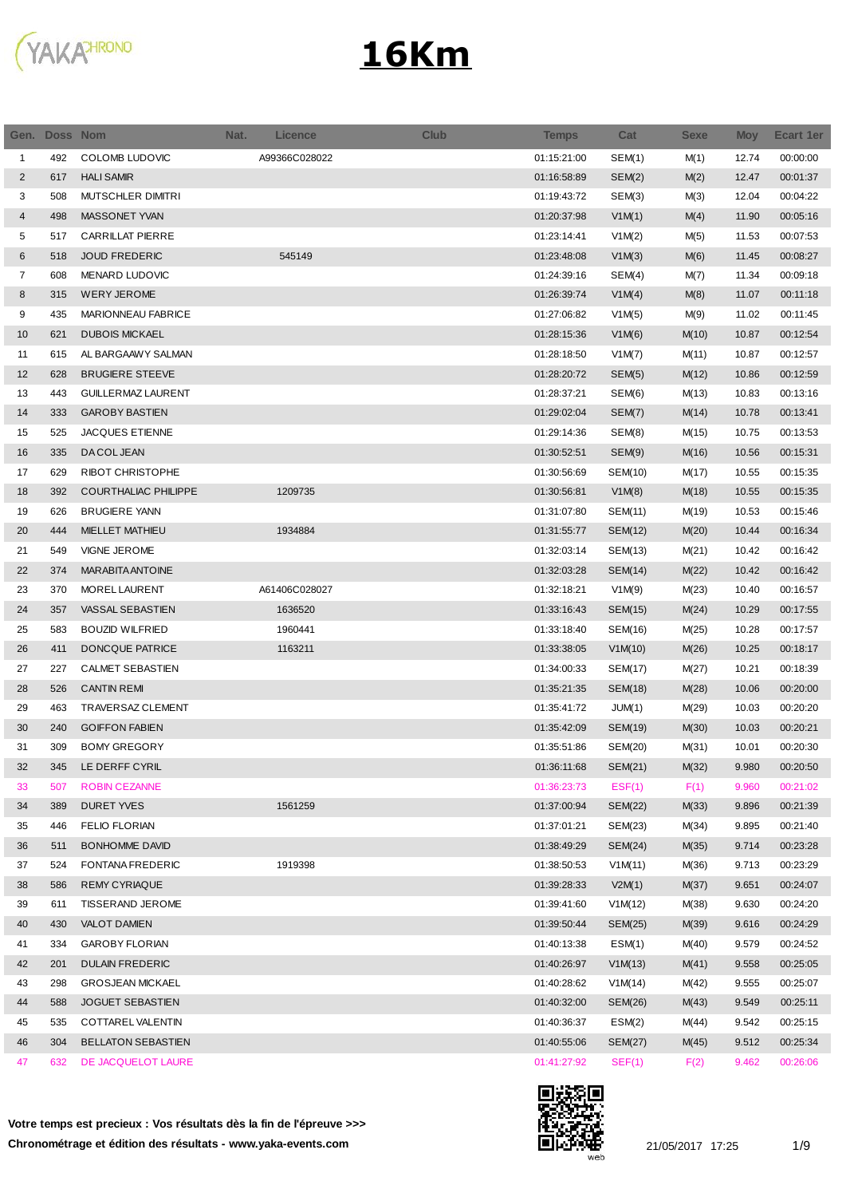

| 492<br>COLOMB LUDOVIC<br>A99366C028022<br>01:15:21:00<br>SEM(1)<br>12.74<br>00:00:00<br>M(1)<br>$\mathbf{1}$<br>2<br>617<br><b>HALI SAMIR</b><br>01:16:58:89<br>SEM(2)<br>M(2)<br>12.47<br>00:01:37<br>3<br>MUTSCHLER DIMITRI<br>SEM(3)<br>M(3)<br>12.04<br>00:04:22<br>508<br>01:19:43:72<br>MASSONET YVAN<br>498<br>V1M(1)<br>00:05:16<br>4<br>01:20:37:98<br>M(4)<br>11.90<br><b>CARRILLAT PIERRE</b><br>01:23:14:41<br>V1M(2)<br>11.53<br>00:07:53<br>5<br>517<br>M(5)<br>6<br>518<br><b>JOUD FREDERIC</b><br>545149<br>01:23:48:08<br>V1M(3)<br>M(6)<br>11.45<br>00:08:27<br>$\overline{7}$<br>608<br>MENARD LUDOVIC<br>01:24:39:16<br>SEM(4)<br>M(7)<br>11.34<br>00:09:18<br>8<br><b>WERY JEROME</b><br>00:11:18<br>315<br>01:26:39:74<br>V1M(4)<br>M(8)<br>11.07<br>9<br>MARIONNEAU FABRICE<br>V1M(5)<br>00:11:45<br>435<br>01:27:06:82<br>M(9)<br>11.02<br>10<br>621<br><b>DUBOIS MICKAEL</b><br>01:28:15:36<br>10.87<br>00:12:54<br>V1M(6)<br>M(10)<br>615<br>AL BARGAAWY SALMAN<br>01:28:18:50<br>10.87<br>00:12:57<br>11<br>V1M(7)<br>M(11)<br>12<br><b>BRUGIERE STEEVE</b><br>01:28:20:72<br>SEM(5)<br>10.86<br>00:12:59<br>628<br>M(12)<br>13<br>443<br><b>GUILLERMAZ LAURENT</b><br>01:28:37:21<br>SEM(6)<br>10.83<br>00:13:16<br>M(13)<br><b>GAROBY BASTIEN</b><br>01:29:02:04<br>00:13:41<br>14<br>333<br>SEM(7)<br>M(14)<br>10.78<br>525<br><b>JACQUES ETIENNE</b><br>01:29:14:36<br>SEM(8)<br>M(15)<br>10.75<br>00:13:53<br>15<br>335<br>DA COL JEAN<br>01:30:52:51<br>SEM(9)<br>10.56<br>00:15:31<br>16<br>M(16)<br>RIBOT CHRISTOPHE<br>629<br>01:30:56:69<br>17<br>SEM(10)<br>M(17)<br>10.55<br>00:15:35<br><b>COURTHALIAC PHILIPPE</b><br>18<br>392<br>1209735<br>01:30:56:81<br>V1M(8)<br>M(18)<br>10.55<br>00:15:35<br>19<br>626<br><b>BRUGIERE YANN</b><br>01:31:07:80<br>SEM(11)<br>M(19)<br>10.53<br>00:15:46<br>444<br><b>MIELLET MATHIEU</b><br>1934884<br>01:31:55:77<br>00:16:34<br>20<br>SEM(12)<br>M(20)<br>10.44<br>21<br>549<br><b>VIGNE JEROME</b><br>01:32:03:14<br>SEM(13)<br>M(21)<br>10.42<br>00:16:42<br>22<br><b>MARABITA ANTOINE</b><br>M(22)<br>10.42<br>00:16:42<br>374<br>01:32:03:28<br>SEM(14)<br>370<br>MOREL LAURENT<br>A61406C028027<br>01:32:18:21<br>V1M(9)<br>M(23)<br>00:16:57<br>23<br>10.40<br>24<br>357<br>VASSAL SEBASTIEN<br>1636520<br>01:33:16:43<br>SEM(15)<br>10.29<br>00:17:55<br>M(24)<br>25<br>583<br><b>BOUZID WILFRIED</b><br>1960441<br>01:33:18:40<br>M(25)<br>10.28<br>00:17:57<br>SEM(16)<br>411<br>DONCQUE PATRICE<br>1163211<br>01:33:38:05<br>10.25<br>00:18:17<br>26<br>V1M(10)<br>M(26)<br>27<br>227<br>CALMET SEBASTIEN<br>01:34:00:33<br>10.21<br>00:18:39<br>SEM(17)<br>M(27)<br>28<br><b>CANTIN REMI</b><br>526<br>01:35:21:35<br>SEM(18)<br>M(28)<br>10.06<br>00:20:00<br>29<br>TRAVERSAZ CLEMENT<br>M(29)<br>10.03<br>463<br>01:35:41:72<br>JUM(1)<br>00:20:20<br>240<br><b>GOIFFON FABIEN</b><br>01:35:42:09<br>00:20:21<br>30<br>SEM(19)<br>M(30)<br>10.03<br><b>BOMY GREGORY</b><br>31<br>309<br>01:35:51:86<br>SEM(20)<br>M(31)<br>10.01<br>00:20:30<br>32<br>345<br>LE DERFF CYRIL<br>01:36:11:68<br>SEM(21)<br>M(32)<br>9.980<br>00:20:50<br><b>ROBIN CEZANNE</b><br>01:36:23:73<br>EST(1)<br>F(1)<br>9.960<br>00:21:02<br>33<br>507<br>34<br>389<br><b>DURET YVES</b><br>1561259<br>01:37:00:94<br><b>SEM(22)</b><br>M(33)<br>9.896<br>00:21:39<br><b>FELIO FLORIAN</b><br>01:37:01:21<br>SEM(23)<br>M(34)<br>9.895<br>00:21:40<br>35<br>446<br><b>BONHOMME DAVID</b><br>01:38:49:29<br>00:23:28<br>36<br>511<br>SEM(24)<br>M(35)<br>9.714<br>1919398<br>37<br>524<br>FONTANA FREDERIC<br>01:38:50:53<br>00:23:29<br>V1M(11)<br>M(36)<br>9.713<br>01:39:28:33<br>V2M(1)<br>M(37)<br>00:24:07<br>38<br>586<br><b>REMY CYRIAQUE</b><br>9.651<br>39<br>TISSERAND JEROME<br>01:39:41:60<br>V1M(12)<br>M(38)<br>9.630<br>00:24:20<br>611<br>430<br><b>VALOT DAMIEN</b><br>01:39:50:44<br>00:24:29<br>40<br>SEM(25)<br>M(39)<br>9.616<br>334<br><b>GAROBY FLORIAN</b><br>01:40:13:38<br>ESM(1)<br>M(40)<br>9.579<br>00:24:52<br>41<br>42<br>201<br><b>DULAIN FREDERIC</b><br>01:40:26:97<br>V1M(13)<br>M(41)<br>9.558<br>00:25:05<br>298<br><b>GROSJEAN MICKAEL</b><br>01:40:28:62<br>V1M(14)<br>9.555<br>00:25:07<br>43<br>M(42)<br>588<br>9.549<br>00:25:11<br>44<br><b>JOGUET SEBASTIEN</b><br>01:40:32:00<br>SEM(26)<br>M(43)<br>COTTAREL VALENTIN<br>01:40:36:37<br>ESM(2)<br>M(44)<br>9.542<br>00:25:15<br>45<br>535<br>304<br><b>BELLATON SEBASTIEN</b><br>01:40:55:06<br>M(45)<br>9.512<br>00:25:34<br>46<br>SEM(27)<br>632<br>DE JACQUELOT LAURE<br>01:41:27:92<br>SEF(1)<br>9.462<br>00:26:06<br>47<br>F(2) | Gen. Doss Nom | Nat. | <b>Licence</b> | <b>Club</b> | <b>Temps</b> | Cat | Sexe | <b>Moy</b> | <b>Ecart 1er</b> |
|-----------------------------------------------------------------------------------------------------------------------------------------------------------------------------------------------------------------------------------------------------------------------------------------------------------------------------------------------------------------------------------------------------------------------------------------------------------------------------------------------------------------------------------------------------------------------------------------------------------------------------------------------------------------------------------------------------------------------------------------------------------------------------------------------------------------------------------------------------------------------------------------------------------------------------------------------------------------------------------------------------------------------------------------------------------------------------------------------------------------------------------------------------------------------------------------------------------------------------------------------------------------------------------------------------------------------------------------------------------------------------------------------------------------------------------------------------------------------------------------------------------------------------------------------------------------------------------------------------------------------------------------------------------------------------------------------------------------------------------------------------------------------------------------------------------------------------------------------------------------------------------------------------------------------------------------------------------------------------------------------------------------------------------------------------------------------------------------------------------------------------------------------------------------------------------------------------------------------------------------------------------------------------------------------------------------------------------------------------------------------------------------------------------------------------------------------------------------------------------------------------------------------------------------------------------------------------------------------------------------------------------------------------------------------------------------------------------------------------------------------------------------------------------------------------------------------------------------------------------------------------------------------------------------------------------------------------------------------------------------------------------------------------------------------------------------------------------------------------------------------------------------------------------------------------------------------------------------------------------------------------------------------------------------------------------------------------------------------------------------------------------------------------------------------------------------------------------------------------------------------------------------------------------------------------------------------------------------------------------------------------------------------------------------------------------------------------------------------------------------------------------------------------------------------------------------------------------------------------------------------------------------------------------------------------------------------------------------------------------------------------------------------------------------------------------------------------------------------------------------------------------------------------------------------------------------------------------------------------------------------------------------------------------------------------------------------------------------------------------------------------------------------------------------------------------------------------------------------------------------------------------------------------------------------------------------------------------------------------------|---------------|------|----------------|-------------|--------------|-----|------|------------|------------------|
|                                                                                                                                                                                                                                                                                                                                                                                                                                                                                                                                                                                                                                                                                                                                                                                                                                                                                                                                                                                                                                                                                                                                                                                                                                                                                                                                                                                                                                                                                                                                                                                                                                                                                                                                                                                                                                                                                                                                                                                                                                                                                                                                                                                                                                                                                                                                                                                                                                                                                                                                                                                                                                                                                                                                                                                                                                                                                                                                                                                                                                                                                                                                                                                                                                                                                                                                                                                                                                                                                                                                                                                                                                                                                                                                                                                                                                                                                                                                                                                                                                                                                                                                                                                                                                                                                                                                                                                                                                                                                                                                                                                                           |               |      |                |             |              |     |      |            |                  |
|                                                                                                                                                                                                                                                                                                                                                                                                                                                                                                                                                                                                                                                                                                                                                                                                                                                                                                                                                                                                                                                                                                                                                                                                                                                                                                                                                                                                                                                                                                                                                                                                                                                                                                                                                                                                                                                                                                                                                                                                                                                                                                                                                                                                                                                                                                                                                                                                                                                                                                                                                                                                                                                                                                                                                                                                                                                                                                                                                                                                                                                                                                                                                                                                                                                                                                                                                                                                                                                                                                                                                                                                                                                                                                                                                                                                                                                                                                                                                                                                                                                                                                                                                                                                                                                                                                                                                                                                                                                                                                                                                                                                           |               |      |                |             |              |     |      |            |                  |
|                                                                                                                                                                                                                                                                                                                                                                                                                                                                                                                                                                                                                                                                                                                                                                                                                                                                                                                                                                                                                                                                                                                                                                                                                                                                                                                                                                                                                                                                                                                                                                                                                                                                                                                                                                                                                                                                                                                                                                                                                                                                                                                                                                                                                                                                                                                                                                                                                                                                                                                                                                                                                                                                                                                                                                                                                                                                                                                                                                                                                                                                                                                                                                                                                                                                                                                                                                                                                                                                                                                                                                                                                                                                                                                                                                                                                                                                                                                                                                                                                                                                                                                                                                                                                                                                                                                                                                                                                                                                                                                                                                                                           |               |      |                |             |              |     |      |            |                  |
|                                                                                                                                                                                                                                                                                                                                                                                                                                                                                                                                                                                                                                                                                                                                                                                                                                                                                                                                                                                                                                                                                                                                                                                                                                                                                                                                                                                                                                                                                                                                                                                                                                                                                                                                                                                                                                                                                                                                                                                                                                                                                                                                                                                                                                                                                                                                                                                                                                                                                                                                                                                                                                                                                                                                                                                                                                                                                                                                                                                                                                                                                                                                                                                                                                                                                                                                                                                                                                                                                                                                                                                                                                                                                                                                                                                                                                                                                                                                                                                                                                                                                                                                                                                                                                                                                                                                                                                                                                                                                                                                                                                                           |               |      |                |             |              |     |      |            |                  |
|                                                                                                                                                                                                                                                                                                                                                                                                                                                                                                                                                                                                                                                                                                                                                                                                                                                                                                                                                                                                                                                                                                                                                                                                                                                                                                                                                                                                                                                                                                                                                                                                                                                                                                                                                                                                                                                                                                                                                                                                                                                                                                                                                                                                                                                                                                                                                                                                                                                                                                                                                                                                                                                                                                                                                                                                                                                                                                                                                                                                                                                                                                                                                                                                                                                                                                                                                                                                                                                                                                                                                                                                                                                                                                                                                                                                                                                                                                                                                                                                                                                                                                                                                                                                                                                                                                                                                                                                                                                                                                                                                                                                           |               |      |                |             |              |     |      |            |                  |
|                                                                                                                                                                                                                                                                                                                                                                                                                                                                                                                                                                                                                                                                                                                                                                                                                                                                                                                                                                                                                                                                                                                                                                                                                                                                                                                                                                                                                                                                                                                                                                                                                                                                                                                                                                                                                                                                                                                                                                                                                                                                                                                                                                                                                                                                                                                                                                                                                                                                                                                                                                                                                                                                                                                                                                                                                                                                                                                                                                                                                                                                                                                                                                                                                                                                                                                                                                                                                                                                                                                                                                                                                                                                                                                                                                                                                                                                                                                                                                                                                                                                                                                                                                                                                                                                                                                                                                                                                                                                                                                                                                                                           |               |      |                |             |              |     |      |            |                  |
|                                                                                                                                                                                                                                                                                                                                                                                                                                                                                                                                                                                                                                                                                                                                                                                                                                                                                                                                                                                                                                                                                                                                                                                                                                                                                                                                                                                                                                                                                                                                                                                                                                                                                                                                                                                                                                                                                                                                                                                                                                                                                                                                                                                                                                                                                                                                                                                                                                                                                                                                                                                                                                                                                                                                                                                                                                                                                                                                                                                                                                                                                                                                                                                                                                                                                                                                                                                                                                                                                                                                                                                                                                                                                                                                                                                                                                                                                                                                                                                                                                                                                                                                                                                                                                                                                                                                                                                                                                                                                                                                                                                                           |               |      |                |             |              |     |      |            |                  |
|                                                                                                                                                                                                                                                                                                                                                                                                                                                                                                                                                                                                                                                                                                                                                                                                                                                                                                                                                                                                                                                                                                                                                                                                                                                                                                                                                                                                                                                                                                                                                                                                                                                                                                                                                                                                                                                                                                                                                                                                                                                                                                                                                                                                                                                                                                                                                                                                                                                                                                                                                                                                                                                                                                                                                                                                                                                                                                                                                                                                                                                                                                                                                                                                                                                                                                                                                                                                                                                                                                                                                                                                                                                                                                                                                                                                                                                                                                                                                                                                                                                                                                                                                                                                                                                                                                                                                                                                                                                                                                                                                                                                           |               |      |                |             |              |     |      |            |                  |
|                                                                                                                                                                                                                                                                                                                                                                                                                                                                                                                                                                                                                                                                                                                                                                                                                                                                                                                                                                                                                                                                                                                                                                                                                                                                                                                                                                                                                                                                                                                                                                                                                                                                                                                                                                                                                                                                                                                                                                                                                                                                                                                                                                                                                                                                                                                                                                                                                                                                                                                                                                                                                                                                                                                                                                                                                                                                                                                                                                                                                                                                                                                                                                                                                                                                                                                                                                                                                                                                                                                                                                                                                                                                                                                                                                                                                                                                                                                                                                                                                                                                                                                                                                                                                                                                                                                                                                                                                                                                                                                                                                                                           |               |      |                |             |              |     |      |            |                  |
|                                                                                                                                                                                                                                                                                                                                                                                                                                                                                                                                                                                                                                                                                                                                                                                                                                                                                                                                                                                                                                                                                                                                                                                                                                                                                                                                                                                                                                                                                                                                                                                                                                                                                                                                                                                                                                                                                                                                                                                                                                                                                                                                                                                                                                                                                                                                                                                                                                                                                                                                                                                                                                                                                                                                                                                                                                                                                                                                                                                                                                                                                                                                                                                                                                                                                                                                                                                                                                                                                                                                                                                                                                                                                                                                                                                                                                                                                                                                                                                                                                                                                                                                                                                                                                                                                                                                                                                                                                                                                                                                                                                                           |               |      |                |             |              |     |      |            |                  |
|                                                                                                                                                                                                                                                                                                                                                                                                                                                                                                                                                                                                                                                                                                                                                                                                                                                                                                                                                                                                                                                                                                                                                                                                                                                                                                                                                                                                                                                                                                                                                                                                                                                                                                                                                                                                                                                                                                                                                                                                                                                                                                                                                                                                                                                                                                                                                                                                                                                                                                                                                                                                                                                                                                                                                                                                                                                                                                                                                                                                                                                                                                                                                                                                                                                                                                                                                                                                                                                                                                                                                                                                                                                                                                                                                                                                                                                                                                                                                                                                                                                                                                                                                                                                                                                                                                                                                                                                                                                                                                                                                                                                           |               |      |                |             |              |     |      |            |                  |
|                                                                                                                                                                                                                                                                                                                                                                                                                                                                                                                                                                                                                                                                                                                                                                                                                                                                                                                                                                                                                                                                                                                                                                                                                                                                                                                                                                                                                                                                                                                                                                                                                                                                                                                                                                                                                                                                                                                                                                                                                                                                                                                                                                                                                                                                                                                                                                                                                                                                                                                                                                                                                                                                                                                                                                                                                                                                                                                                                                                                                                                                                                                                                                                                                                                                                                                                                                                                                                                                                                                                                                                                                                                                                                                                                                                                                                                                                                                                                                                                                                                                                                                                                                                                                                                                                                                                                                                                                                                                                                                                                                                                           |               |      |                |             |              |     |      |            |                  |
|                                                                                                                                                                                                                                                                                                                                                                                                                                                                                                                                                                                                                                                                                                                                                                                                                                                                                                                                                                                                                                                                                                                                                                                                                                                                                                                                                                                                                                                                                                                                                                                                                                                                                                                                                                                                                                                                                                                                                                                                                                                                                                                                                                                                                                                                                                                                                                                                                                                                                                                                                                                                                                                                                                                                                                                                                                                                                                                                                                                                                                                                                                                                                                                                                                                                                                                                                                                                                                                                                                                                                                                                                                                                                                                                                                                                                                                                                                                                                                                                                                                                                                                                                                                                                                                                                                                                                                                                                                                                                                                                                                                                           |               |      |                |             |              |     |      |            |                  |
|                                                                                                                                                                                                                                                                                                                                                                                                                                                                                                                                                                                                                                                                                                                                                                                                                                                                                                                                                                                                                                                                                                                                                                                                                                                                                                                                                                                                                                                                                                                                                                                                                                                                                                                                                                                                                                                                                                                                                                                                                                                                                                                                                                                                                                                                                                                                                                                                                                                                                                                                                                                                                                                                                                                                                                                                                                                                                                                                                                                                                                                                                                                                                                                                                                                                                                                                                                                                                                                                                                                                                                                                                                                                                                                                                                                                                                                                                                                                                                                                                                                                                                                                                                                                                                                                                                                                                                                                                                                                                                                                                                                                           |               |      |                |             |              |     |      |            |                  |
|                                                                                                                                                                                                                                                                                                                                                                                                                                                                                                                                                                                                                                                                                                                                                                                                                                                                                                                                                                                                                                                                                                                                                                                                                                                                                                                                                                                                                                                                                                                                                                                                                                                                                                                                                                                                                                                                                                                                                                                                                                                                                                                                                                                                                                                                                                                                                                                                                                                                                                                                                                                                                                                                                                                                                                                                                                                                                                                                                                                                                                                                                                                                                                                                                                                                                                                                                                                                                                                                                                                                                                                                                                                                                                                                                                                                                                                                                                                                                                                                                                                                                                                                                                                                                                                                                                                                                                                                                                                                                                                                                                                                           |               |      |                |             |              |     |      |            |                  |
|                                                                                                                                                                                                                                                                                                                                                                                                                                                                                                                                                                                                                                                                                                                                                                                                                                                                                                                                                                                                                                                                                                                                                                                                                                                                                                                                                                                                                                                                                                                                                                                                                                                                                                                                                                                                                                                                                                                                                                                                                                                                                                                                                                                                                                                                                                                                                                                                                                                                                                                                                                                                                                                                                                                                                                                                                                                                                                                                                                                                                                                                                                                                                                                                                                                                                                                                                                                                                                                                                                                                                                                                                                                                                                                                                                                                                                                                                                                                                                                                                                                                                                                                                                                                                                                                                                                                                                                                                                                                                                                                                                                                           |               |      |                |             |              |     |      |            |                  |
|                                                                                                                                                                                                                                                                                                                                                                                                                                                                                                                                                                                                                                                                                                                                                                                                                                                                                                                                                                                                                                                                                                                                                                                                                                                                                                                                                                                                                                                                                                                                                                                                                                                                                                                                                                                                                                                                                                                                                                                                                                                                                                                                                                                                                                                                                                                                                                                                                                                                                                                                                                                                                                                                                                                                                                                                                                                                                                                                                                                                                                                                                                                                                                                                                                                                                                                                                                                                                                                                                                                                                                                                                                                                                                                                                                                                                                                                                                                                                                                                                                                                                                                                                                                                                                                                                                                                                                                                                                                                                                                                                                                                           |               |      |                |             |              |     |      |            |                  |
|                                                                                                                                                                                                                                                                                                                                                                                                                                                                                                                                                                                                                                                                                                                                                                                                                                                                                                                                                                                                                                                                                                                                                                                                                                                                                                                                                                                                                                                                                                                                                                                                                                                                                                                                                                                                                                                                                                                                                                                                                                                                                                                                                                                                                                                                                                                                                                                                                                                                                                                                                                                                                                                                                                                                                                                                                                                                                                                                                                                                                                                                                                                                                                                                                                                                                                                                                                                                                                                                                                                                                                                                                                                                                                                                                                                                                                                                                                                                                                                                                                                                                                                                                                                                                                                                                                                                                                                                                                                                                                                                                                                                           |               |      |                |             |              |     |      |            |                  |
|                                                                                                                                                                                                                                                                                                                                                                                                                                                                                                                                                                                                                                                                                                                                                                                                                                                                                                                                                                                                                                                                                                                                                                                                                                                                                                                                                                                                                                                                                                                                                                                                                                                                                                                                                                                                                                                                                                                                                                                                                                                                                                                                                                                                                                                                                                                                                                                                                                                                                                                                                                                                                                                                                                                                                                                                                                                                                                                                                                                                                                                                                                                                                                                                                                                                                                                                                                                                                                                                                                                                                                                                                                                                                                                                                                                                                                                                                                                                                                                                                                                                                                                                                                                                                                                                                                                                                                                                                                                                                                                                                                                                           |               |      |                |             |              |     |      |            |                  |
|                                                                                                                                                                                                                                                                                                                                                                                                                                                                                                                                                                                                                                                                                                                                                                                                                                                                                                                                                                                                                                                                                                                                                                                                                                                                                                                                                                                                                                                                                                                                                                                                                                                                                                                                                                                                                                                                                                                                                                                                                                                                                                                                                                                                                                                                                                                                                                                                                                                                                                                                                                                                                                                                                                                                                                                                                                                                                                                                                                                                                                                                                                                                                                                                                                                                                                                                                                                                                                                                                                                                                                                                                                                                                                                                                                                                                                                                                                                                                                                                                                                                                                                                                                                                                                                                                                                                                                                                                                                                                                                                                                                                           |               |      |                |             |              |     |      |            |                  |
|                                                                                                                                                                                                                                                                                                                                                                                                                                                                                                                                                                                                                                                                                                                                                                                                                                                                                                                                                                                                                                                                                                                                                                                                                                                                                                                                                                                                                                                                                                                                                                                                                                                                                                                                                                                                                                                                                                                                                                                                                                                                                                                                                                                                                                                                                                                                                                                                                                                                                                                                                                                                                                                                                                                                                                                                                                                                                                                                                                                                                                                                                                                                                                                                                                                                                                                                                                                                                                                                                                                                                                                                                                                                                                                                                                                                                                                                                                                                                                                                                                                                                                                                                                                                                                                                                                                                                                                                                                                                                                                                                                                                           |               |      |                |             |              |     |      |            |                  |
|                                                                                                                                                                                                                                                                                                                                                                                                                                                                                                                                                                                                                                                                                                                                                                                                                                                                                                                                                                                                                                                                                                                                                                                                                                                                                                                                                                                                                                                                                                                                                                                                                                                                                                                                                                                                                                                                                                                                                                                                                                                                                                                                                                                                                                                                                                                                                                                                                                                                                                                                                                                                                                                                                                                                                                                                                                                                                                                                                                                                                                                                                                                                                                                                                                                                                                                                                                                                                                                                                                                                                                                                                                                                                                                                                                                                                                                                                                                                                                                                                                                                                                                                                                                                                                                                                                                                                                                                                                                                                                                                                                                                           |               |      |                |             |              |     |      |            |                  |
|                                                                                                                                                                                                                                                                                                                                                                                                                                                                                                                                                                                                                                                                                                                                                                                                                                                                                                                                                                                                                                                                                                                                                                                                                                                                                                                                                                                                                                                                                                                                                                                                                                                                                                                                                                                                                                                                                                                                                                                                                                                                                                                                                                                                                                                                                                                                                                                                                                                                                                                                                                                                                                                                                                                                                                                                                                                                                                                                                                                                                                                                                                                                                                                                                                                                                                                                                                                                                                                                                                                                                                                                                                                                                                                                                                                                                                                                                                                                                                                                                                                                                                                                                                                                                                                                                                                                                                                                                                                                                                                                                                                                           |               |      |                |             |              |     |      |            |                  |
|                                                                                                                                                                                                                                                                                                                                                                                                                                                                                                                                                                                                                                                                                                                                                                                                                                                                                                                                                                                                                                                                                                                                                                                                                                                                                                                                                                                                                                                                                                                                                                                                                                                                                                                                                                                                                                                                                                                                                                                                                                                                                                                                                                                                                                                                                                                                                                                                                                                                                                                                                                                                                                                                                                                                                                                                                                                                                                                                                                                                                                                                                                                                                                                                                                                                                                                                                                                                                                                                                                                                                                                                                                                                                                                                                                                                                                                                                                                                                                                                                                                                                                                                                                                                                                                                                                                                                                                                                                                                                                                                                                                                           |               |      |                |             |              |     |      |            |                  |
|                                                                                                                                                                                                                                                                                                                                                                                                                                                                                                                                                                                                                                                                                                                                                                                                                                                                                                                                                                                                                                                                                                                                                                                                                                                                                                                                                                                                                                                                                                                                                                                                                                                                                                                                                                                                                                                                                                                                                                                                                                                                                                                                                                                                                                                                                                                                                                                                                                                                                                                                                                                                                                                                                                                                                                                                                                                                                                                                                                                                                                                                                                                                                                                                                                                                                                                                                                                                                                                                                                                                                                                                                                                                                                                                                                                                                                                                                                                                                                                                                                                                                                                                                                                                                                                                                                                                                                                                                                                                                                                                                                                                           |               |      |                |             |              |     |      |            |                  |
|                                                                                                                                                                                                                                                                                                                                                                                                                                                                                                                                                                                                                                                                                                                                                                                                                                                                                                                                                                                                                                                                                                                                                                                                                                                                                                                                                                                                                                                                                                                                                                                                                                                                                                                                                                                                                                                                                                                                                                                                                                                                                                                                                                                                                                                                                                                                                                                                                                                                                                                                                                                                                                                                                                                                                                                                                                                                                                                                                                                                                                                                                                                                                                                                                                                                                                                                                                                                                                                                                                                                                                                                                                                                                                                                                                                                                                                                                                                                                                                                                                                                                                                                                                                                                                                                                                                                                                                                                                                                                                                                                                                                           |               |      |                |             |              |     |      |            |                  |
|                                                                                                                                                                                                                                                                                                                                                                                                                                                                                                                                                                                                                                                                                                                                                                                                                                                                                                                                                                                                                                                                                                                                                                                                                                                                                                                                                                                                                                                                                                                                                                                                                                                                                                                                                                                                                                                                                                                                                                                                                                                                                                                                                                                                                                                                                                                                                                                                                                                                                                                                                                                                                                                                                                                                                                                                                                                                                                                                                                                                                                                                                                                                                                                                                                                                                                                                                                                                                                                                                                                                                                                                                                                                                                                                                                                                                                                                                                                                                                                                                                                                                                                                                                                                                                                                                                                                                                                                                                                                                                                                                                                                           |               |      |                |             |              |     |      |            |                  |
|                                                                                                                                                                                                                                                                                                                                                                                                                                                                                                                                                                                                                                                                                                                                                                                                                                                                                                                                                                                                                                                                                                                                                                                                                                                                                                                                                                                                                                                                                                                                                                                                                                                                                                                                                                                                                                                                                                                                                                                                                                                                                                                                                                                                                                                                                                                                                                                                                                                                                                                                                                                                                                                                                                                                                                                                                                                                                                                                                                                                                                                                                                                                                                                                                                                                                                                                                                                                                                                                                                                                                                                                                                                                                                                                                                                                                                                                                                                                                                                                                                                                                                                                                                                                                                                                                                                                                                                                                                                                                                                                                                                                           |               |      |                |             |              |     |      |            |                  |
|                                                                                                                                                                                                                                                                                                                                                                                                                                                                                                                                                                                                                                                                                                                                                                                                                                                                                                                                                                                                                                                                                                                                                                                                                                                                                                                                                                                                                                                                                                                                                                                                                                                                                                                                                                                                                                                                                                                                                                                                                                                                                                                                                                                                                                                                                                                                                                                                                                                                                                                                                                                                                                                                                                                                                                                                                                                                                                                                                                                                                                                                                                                                                                                                                                                                                                                                                                                                                                                                                                                                                                                                                                                                                                                                                                                                                                                                                                                                                                                                                                                                                                                                                                                                                                                                                                                                                                                                                                                                                                                                                                                                           |               |      |                |             |              |     |      |            |                  |
|                                                                                                                                                                                                                                                                                                                                                                                                                                                                                                                                                                                                                                                                                                                                                                                                                                                                                                                                                                                                                                                                                                                                                                                                                                                                                                                                                                                                                                                                                                                                                                                                                                                                                                                                                                                                                                                                                                                                                                                                                                                                                                                                                                                                                                                                                                                                                                                                                                                                                                                                                                                                                                                                                                                                                                                                                                                                                                                                                                                                                                                                                                                                                                                                                                                                                                                                                                                                                                                                                                                                                                                                                                                                                                                                                                                                                                                                                                                                                                                                                                                                                                                                                                                                                                                                                                                                                                                                                                                                                                                                                                                                           |               |      |                |             |              |     |      |            |                  |
|                                                                                                                                                                                                                                                                                                                                                                                                                                                                                                                                                                                                                                                                                                                                                                                                                                                                                                                                                                                                                                                                                                                                                                                                                                                                                                                                                                                                                                                                                                                                                                                                                                                                                                                                                                                                                                                                                                                                                                                                                                                                                                                                                                                                                                                                                                                                                                                                                                                                                                                                                                                                                                                                                                                                                                                                                                                                                                                                                                                                                                                                                                                                                                                                                                                                                                                                                                                                                                                                                                                                                                                                                                                                                                                                                                                                                                                                                                                                                                                                                                                                                                                                                                                                                                                                                                                                                                                                                                                                                                                                                                                                           |               |      |                |             |              |     |      |            |                  |
|                                                                                                                                                                                                                                                                                                                                                                                                                                                                                                                                                                                                                                                                                                                                                                                                                                                                                                                                                                                                                                                                                                                                                                                                                                                                                                                                                                                                                                                                                                                                                                                                                                                                                                                                                                                                                                                                                                                                                                                                                                                                                                                                                                                                                                                                                                                                                                                                                                                                                                                                                                                                                                                                                                                                                                                                                                                                                                                                                                                                                                                                                                                                                                                                                                                                                                                                                                                                                                                                                                                                                                                                                                                                                                                                                                                                                                                                                                                                                                                                                                                                                                                                                                                                                                                                                                                                                                                                                                                                                                                                                                                                           |               |      |                |             |              |     |      |            |                  |
|                                                                                                                                                                                                                                                                                                                                                                                                                                                                                                                                                                                                                                                                                                                                                                                                                                                                                                                                                                                                                                                                                                                                                                                                                                                                                                                                                                                                                                                                                                                                                                                                                                                                                                                                                                                                                                                                                                                                                                                                                                                                                                                                                                                                                                                                                                                                                                                                                                                                                                                                                                                                                                                                                                                                                                                                                                                                                                                                                                                                                                                                                                                                                                                                                                                                                                                                                                                                                                                                                                                                                                                                                                                                                                                                                                                                                                                                                                                                                                                                                                                                                                                                                                                                                                                                                                                                                                                                                                                                                                                                                                                                           |               |      |                |             |              |     |      |            |                  |
|                                                                                                                                                                                                                                                                                                                                                                                                                                                                                                                                                                                                                                                                                                                                                                                                                                                                                                                                                                                                                                                                                                                                                                                                                                                                                                                                                                                                                                                                                                                                                                                                                                                                                                                                                                                                                                                                                                                                                                                                                                                                                                                                                                                                                                                                                                                                                                                                                                                                                                                                                                                                                                                                                                                                                                                                                                                                                                                                                                                                                                                                                                                                                                                                                                                                                                                                                                                                                                                                                                                                                                                                                                                                                                                                                                                                                                                                                                                                                                                                                                                                                                                                                                                                                                                                                                                                                                                                                                                                                                                                                                                                           |               |      |                |             |              |     |      |            |                  |
|                                                                                                                                                                                                                                                                                                                                                                                                                                                                                                                                                                                                                                                                                                                                                                                                                                                                                                                                                                                                                                                                                                                                                                                                                                                                                                                                                                                                                                                                                                                                                                                                                                                                                                                                                                                                                                                                                                                                                                                                                                                                                                                                                                                                                                                                                                                                                                                                                                                                                                                                                                                                                                                                                                                                                                                                                                                                                                                                                                                                                                                                                                                                                                                                                                                                                                                                                                                                                                                                                                                                                                                                                                                                                                                                                                                                                                                                                                                                                                                                                                                                                                                                                                                                                                                                                                                                                                                                                                                                                                                                                                                                           |               |      |                |             |              |     |      |            |                  |
|                                                                                                                                                                                                                                                                                                                                                                                                                                                                                                                                                                                                                                                                                                                                                                                                                                                                                                                                                                                                                                                                                                                                                                                                                                                                                                                                                                                                                                                                                                                                                                                                                                                                                                                                                                                                                                                                                                                                                                                                                                                                                                                                                                                                                                                                                                                                                                                                                                                                                                                                                                                                                                                                                                                                                                                                                                                                                                                                                                                                                                                                                                                                                                                                                                                                                                                                                                                                                                                                                                                                                                                                                                                                                                                                                                                                                                                                                                                                                                                                                                                                                                                                                                                                                                                                                                                                                                                                                                                                                                                                                                                                           |               |      |                |             |              |     |      |            |                  |
|                                                                                                                                                                                                                                                                                                                                                                                                                                                                                                                                                                                                                                                                                                                                                                                                                                                                                                                                                                                                                                                                                                                                                                                                                                                                                                                                                                                                                                                                                                                                                                                                                                                                                                                                                                                                                                                                                                                                                                                                                                                                                                                                                                                                                                                                                                                                                                                                                                                                                                                                                                                                                                                                                                                                                                                                                                                                                                                                                                                                                                                                                                                                                                                                                                                                                                                                                                                                                                                                                                                                                                                                                                                                                                                                                                                                                                                                                                                                                                                                                                                                                                                                                                                                                                                                                                                                                                                                                                                                                                                                                                                                           |               |      |                |             |              |     |      |            |                  |
|                                                                                                                                                                                                                                                                                                                                                                                                                                                                                                                                                                                                                                                                                                                                                                                                                                                                                                                                                                                                                                                                                                                                                                                                                                                                                                                                                                                                                                                                                                                                                                                                                                                                                                                                                                                                                                                                                                                                                                                                                                                                                                                                                                                                                                                                                                                                                                                                                                                                                                                                                                                                                                                                                                                                                                                                                                                                                                                                                                                                                                                                                                                                                                                                                                                                                                                                                                                                                                                                                                                                                                                                                                                                                                                                                                                                                                                                                                                                                                                                                                                                                                                                                                                                                                                                                                                                                                                                                                                                                                                                                                                                           |               |      |                |             |              |     |      |            |                  |
|                                                                                                                                                                                                                                                                                                                                                                                                                                                                                                                                                                                                                                                                                                                                                                                                                                                                                                                                                                                                                                                                                                                                                                                                                                                                                                                                                                                                                                                                                                                                                                                                                                                                                                                                                                                                                                                                                                                                                                                                                                                                                                                                                                                                                                                                                                                                                                                                                                                                                                                                                                                                                                                                                                                                                                                                                                                                                                                                                                                                                                                                                                                                                                                                                                                                                                                                                                                                                                                                                                                                                                                                                                                                                                                                                                                                                                                                                                                                                                                                                                                                                                                                                                                                                                                                                                                                                                                                                                                                                                                                                                                                           |               |      |                |             |              |     |      |            |                  |
|                                                                                                                                                                                                                                                                                                                                                                                                                                                                                                                                                                                                                                                                                                                                                                                                                                                                                                                                                                                                                                                                                                                                                                                                                                                                                                                                                                                                                                                                                                                                                                                                                                                                                                                                                                                                                                                                                                                                                                                                                                                                                                                                                                                                                                                                                                                                                                                                                                                                                                                                                                                                                                                                                                                                                                                                                                                                                                                                                                                                                                                                                                                                                                                                                                                                                                                                                                                                                                                                                                                                                                                                                                                                                                                                                                                                                                                                                                                                                                                                                                                                                                                                                                                                                                                                                                                                                                                                                                                                                                                                                                                                           |               |      |                |             |              |     |      |            |                  |
|                                                                                                                                                                                                                                                                                                                                                                                                                                                                                                                                                                                                                                                                                                                                                                                                                                                                                                                                                                                                                                                                                                                                                                                                                                                                                                                                                                                                                                                                                                                                                                                                                                                                                                                                                                                                                                                                                                                                                                                                                                                                                                                                                                                                                                                                                                                                                                                                                                                                                                                                                                                                                                                                                                                                                                                                                                                                                                                                                                                                                                                                                                                                                                                                                                                                                                                                                                                                                                                                                                                                                                                                                                                                                                                                                                                                                                                                                                                                                                                                                                                                                                                                                                                                                                                                                                                                                                                                                                                                                                                                                                                                           |               |      |                |             |              |     |      |            |                  |
|                                                                                                                                                                                                                                                                                                                                                                                                                                                                                                                                                                                                                                                                                                                                                                                                                                                                                                                                                                                                                                                                                                                                                                                                                                                                                                                                                                                                                                                                                                                                                                                                                                                                                                                                                                                                                                                                                                                                                                                                                                                                                                                                                                                                                                                                                                                                                                                                                                                                                                                                                                                                                                                                                                                                                                                                                                                                                                                                                                                                                                                                                                                                                                                                                                                                                                                                                                                                                                                                                                                                                                                                                                                                                                                                                                                                                                                                                                                                                                                                                                                                                                                                                                                                                                                                                                                                                                                                                                                                                                                                                                                                           |               |      |                |             |              |     |      |            |                  |
|                                                                                                                                                                                                                                                                                                                                                                                                                                                                                                                                                                                                                                                                                                                                                                                                                                                                                                                                                                                                                                                                                                                                                                                                                                                                                                                                                                                                                                                                                                                                                                                                                                                                                                                                                                                                                                                                                                                                                                                                                                                                                                                                                                                                                                                                                                                                                                                                                                                                                                                                                                                                                                                                                                                                                                                                                                                                                                                                                                                                                                                                                                                                                                                                                                                                                                                                                                                                                                                                                                                                                                                                                                                                                                                                                                                                                                                                                                                                                                                                                                                                                                                                                                                                                                                                                                                                                                                                                                                                                                                                                                                                           |               |      |                |             |              |     |      |            |                  |
|                                                                                                                                                                                                                                                                                                                                                                                                                                                                                                                                                                                                                                                                                                                                                                                                                                                                                                                                                                                                                                                                                                                                                                                                                                                                                                                                                                                                                                                                                                                                                                                                                                                                                                                                                                                                                                                                                                                                                                                                                                                                                                                                                                                                                                                                                                                                                                                                                                                                                                                                                                                                                                                                                                                                                                                                                                                                                                                                                                                                                                                                                                                                                                                                                                                                                                                                                                                                                                                                                                                                                                                                                                                                                                                                                                                                                                                                                                                                                                                                                                                                                                                                                                                                                                                                                                                                                                                                                                                                                                                                                                                                           |               |      |                |             |              |     |      |            |                  |
|                                                                                                                                                                                                                                                                                                                                                                                                                                                                                                                                                                                                                                                                                                                                                                                                                                                                                                                                                                                                                                                                                                                                                                                                                                                                                                                                                                                                                                                                                                                                                                                                                                                                                                                                                                                                                                                                                                                                                                                                                                                                                                                                                                                                                                                                                                                                                                                                                                                                                                                                                                                                                                                                                                                                                                                                                                                                                                                                                                                                                                                                                                                                                                                                                                                                                                                                                                                                                                                                                                                                                                                                                                                                                                                                                                                                                                                                                                                                                                                                                                                                                                                                                                                                                                                                                                                                                                                                                                                                                                                                                                                                           |               |      |                |             |              |     |      |            |                  |
|                                                                                                                                                                                                                                                                                                                                                                                                                                                                                                                                                                                                                                                                                                                                                                                                                                                                                                                                                                                                                                                                                                                                                                                                                                                                                                                                                                                                                                                                                                                                                                                                                                                                                                                                                                                                                                                                                                                                                                                                                                                                                                                                                                                                                                                                                                                                                                                                                                                                                                                                                                                                                                                                                                                                                                                                                                                                                                                                                                                                                                                                                                                                                                                                                                                                                                                                                                                                                                                                                                                                                                                                                                                                                                                                                                                                                                                                                                                                                                                                                                                                                                                                                                                                                                                                                                                                                                                                                                                                                                                                                                                                           |               |      |                |             |              |     |      |            |                  |
|                                                                                                                                                                                                                                                                                                                                                                                                                                                                                                                                                                                                                                                                                                                                                                                                                                                                                                                                                                                                                                                                                                                                                                                                                                                                                                                                                                                                                                                                                                                                                                                                                                                                                                                                                                                                                                                                                                                                                                                                                                                                                                                                                                                                                                                                                                                                                                                                                                                                                                                                                                                                                                                                                                                                                                                                                                                                                                                                                                                                                                                                                                                                                                                                                                                                                                                                                                                                                                                                                                                                                                                                                                                                                                                                                                                                                                                                                                                                                                                                                                                                                                                                                                                                                                                                                                                                                                                                                                                                                                                                                                                                           |               |      |                |             |              |     |      |            |                  |

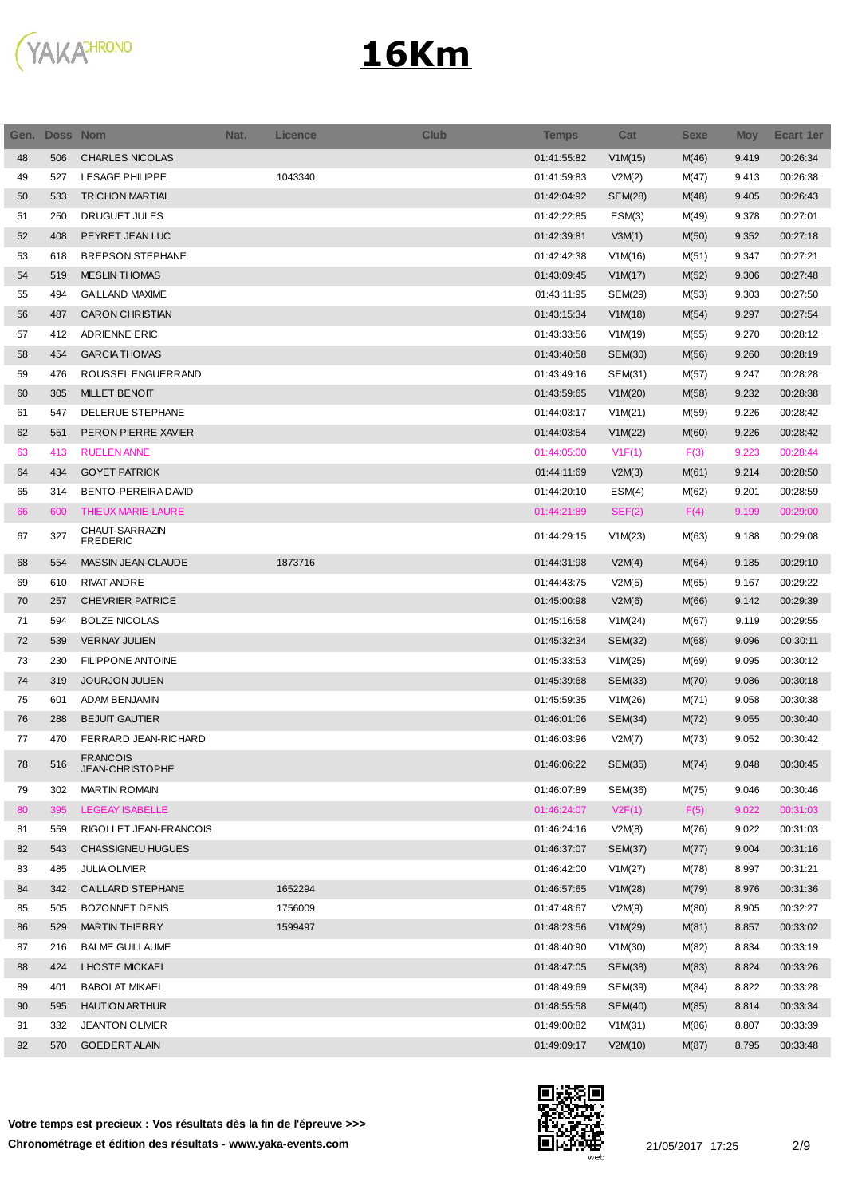

| Gen. | <b>Doss Nom</b> |                                           | Nat. | <b>Licence</b> | <b>Club</b> | <b>Temps</b> | Cat            | <b>Sexe</b> | <b>Moy</b> | <b>Ecart 1er</b> |
|------|-----------------|-------------------------------------------|------|----------------|-------------|--------------|----------------|-------------|------------|------------------|
| 48   | 506             | <b>CHARLES NICOLAS</b>                    |      |                |             | 01:41:55:82  | V1M(15)        | M(46)       | 9.419      | 00:26:34         |
| 49   | 527             | <b>LESAGE PHILIPPE</b>                    |      | 1043340        |             | 01:41:59:83  | V2M(2)         | M(47)       | 9.413      | 00:26:38         |
| 50   | 533             | <b>TRICHON MARTIAL</b>                    |      |                |             | 01:42:04:92  | <b>SEM(28)</b> | M(48)       | 9.405      | 00:26:43         |
| 51   | 250             | <b>DRUGUET JULES</b>                      |      |                |             | 01:42:22:85  | ESM(3)         | M(49)       | 9.378      | 00:27:01         |
| 52   | 408             | PEYRET JEAN LUC                           |      |                |             | 01:42:39:81  | V3M(1)         | M(50)       | 9.352      | 00:27:18         |
| 53   | 618             | <b>BREPSON STEPHANE</b>                   |      |                |             | 01:42:42:38  | V1M(16)        | M(51)       | 9.347      | 00:27:21         |
| 54   | 519             | <b>MESLIN THOMAS</b>                      |      |                |             | 01:43:09:45  | V1M(17)        | M(52)       | 9.306      | 00:27:48         |
| 55   | 494             | <b>GAILLAND MAXIME</b>                    |      |                |             | 01:43:11:95  | SEM(29)        | M(53)       | 9.303      | 00:27:50         |
| 56   | 487             | <b>CARON CHRISTIAN</b>                    |      |                |             | 01:43:15:34  | V1M(18)        | M(54)       | 9.297      | 00:27:54         |
| 57   | 412             | ADRIENNE ERIC                             |      |                |             | 01:43:33:56  | V1M(19)        | M(55)       | 9.270      | 00:28:12         |
| 58   | 454             | <b>GARCIA THOMAS</b>                      |      |                |             | 01:43:40:58  | SEM(30)        | M(56)       | 9.260      | 00:28:19         |
| 59   | 476             | ROUSSEL ENGUERRAND                        |      |                |             | 01:43:49:16  | SEM(31)        | M(57)       | 9.247      | 00:28:28         |
| 60   | 305             | <b>MILLET BENOIT</b>                      |      |                |             | 01:43:59:65  | V1M(20)        | M(58)       | 9.232      | 00:28:38         |
| 61   | 547             | DELERUE STEPHANE                          |      |                |             | 01:44:03:17  | V1M(21)        | M(59)       | 9.226      | 00:28:42         |
| 62   | 551             | PERON PIERRE XAVIER                       |      |                |             | 01:44:03:54  | V1M(22)        | M(60)       | 9.226      | 00:28:42         |
| 63   | 413             | <b>RUELEN ANNE</b>                        |      |                |             | 01:44:05:00  | V1F(1)         | F(3)        | 9.223      | 00:28:44         |
| 64   | 434             | <b>GOYET PATRICK</b>                      |      |                |             | 01:44:11:69  | V2M(3)         | M(61)       | 9.214      | 00:28:50         |
| 65   | 314             | BENTO-PEREIRA DAVID                       |      |                |             | 01:44:20:10  | ESM(4)         | M(62)       | 9.201      | 00:28:59         |
| 66   | 600             | THIEUX MARIE-LAURE                        |      |                |             | 01:44:21:89  | SEF(2)         | F(4)        | 9.199      | 00:29:00         |
| 67   | 327             | CHAUT-SARRAZIN<br><b>FREDERIC</b>         |      |                |             | 01:44:29:15  | V1M(23)        | M(63)       | 9.188      | 00:29:08         |
| 68   | 554             | MASSIN JEAN-CLAUDE                        |      | 1873716        |             | 01:44:31:98  | V2M(4)         | M(64)       | 9.185      | 00:29:10         |
| 69   | 610             | <b>RIVAT ANDRE</b>                        |      |                |             | 01:44:43:75  | V2M(5)         | M(65)       | 9.167      | 00:29:22         |
| 70   | 257             | <b>CHEVRIER PATRICE</b>                   |      |                |             | 01:45:00:98  | V2M(6)         | M(66)       | 9.142      | 00:29:39         |
| 71   | 594             | <b>BOLZE NICOLAS</b>                      |      |                |             | 01:45:16:58  | V1M(24)        | M(67)       | 9.119      | 00:29:55         |
| 72   | 539             | <b>VERNAY JULIEN</b>                      |      |                |             | 01:45:32:34  | SEM(32)        | M(68)       | 9.096      | 00:30:11         |
| 73   | 230             | <b>FILIPPONE ANTOINE</b>                  |      |                |             | 01:45:33:53  | V1M(25)        | M(69)       | 9.095      | 00:30:12         |
| 74   | 319             | <b>JOURJON JULIEN</b>                     |      |                |             | 01:45:39:68  | SEM(33)        | M(70)       | 9.086      | 00:30:18         |
| 75   | 601             | ADAM BENJAMIN                             |      |                |             | 01:45:59:35  | V1M(26)        | M(71)       | 9.058      | 00:30:38         |
| 76   | 288             | <b>BEJUIT GAUTIER</b>                     |      |                |             | 01:46:01:06  | SEM(34)        | M(72)       | 9.055      | 00:30:40         |
| 77   | 470             | FERRARD JEAN-RICHARD                      |      |                |             | 01:46:03:96  | V2M(7)         | M(73)       | 9.052      | 00:30:42         |
| 78   | 516             | <b>FRANCOIS</b><br><b>JEAN-CHRISTOPHE</b> |      |                |             | 01:46:06:22  | <b>SEM(35)</b> | M(74)       | 9.048      | 00:30:45         |
| 79   | 302             | <b>MARTIN ROMAIN</b>                      |      |                |             | 01:46:07:89  | SEM(36)        | M(75)       | 9.046      | 00:30:46         |
| 80   | 395             | <b>LEGEAY ISABELLE</b>                    |      |                |             | 01:46:24:07  | V2F(1)         | F(5)        | 9.022      | 00:31:03         |
| 81   | 559             | RIGOLLET JEAN-FRANCOIS                    |      |                |             | 01:46:24:16  | V2M(8)         | M(76)       | 9.022      | 00:31:03         |
| 82   | 543             | <b>CHASSIGNEU HUGUES</b>                  |      |                |             | 01:46:37:07  | SEM(37)        | M(77)       | 9.004      | 00:31:16         |
| 83   | 485             | <b>JULIA OLIVIER</b>                      |      |                |             | 01:46:42:00  | V1M(27)        | M(78)       | 8.997      | 00:31:21         |
| 84   | 342             | CAILLARD STEPHANE                         |      | 1652294        |             | 01:46:57:65  | V1M(28)        | M(79)       | 8.976      | 00:31:36         |
| 85   | 505             | <b>BOZONNET DENIS</b>                     |      | 1756009        |             | 01:47:48:67  | V2M(9)         | M(80)       | 8.905      | 00:32:27         |
| 86   | 529             | <b>MARTIN THIERRY</b>                     |      | 1599497        |             | 01:48:23:56  | V1M(29)        | M(81)       | 8.857      | 00:33:02         |
| 87   | 216             | <b>BALME GUILLAUME</b>                    |      |                |             | 01:48:40:90  | V1M(30)        | M(82)       | 8.834      | 00:33:19         |
| 88   | 424             | LHOSTE MICKAEL                            |      |                |             | 01:48:47:05  | SEM(38)        | M(83)       | 8.824      | 00:33:26         |
| 89   | 401             | <b>BABOLAT MIKAEL</b>                     |      |                |             | 01:48:49:69  | SEM(39)        | M(84)       | 8.822      | 00:33:28         |
| 90   | 595             | <b>HAUTION ARTHUR</b>                     |      |                |             | 01:48:55:58  | <b>SEM(40)</b> | M(85)       | 8.814      | 00:33:34         |
| 91   | 332             | <b>JEANTON OLIVIER</b>                    |      |                |             | 01:49:00:82  | V1M(31)        | M(86)       | 8.807      | 00:33:39         |
| 92   | 570             | <b>GOEDERT ALAIN</b>                      |      |                |             | 01:49:09:17  | V2M(10)        | M(87)       | 8.795      | 00:33:48         |

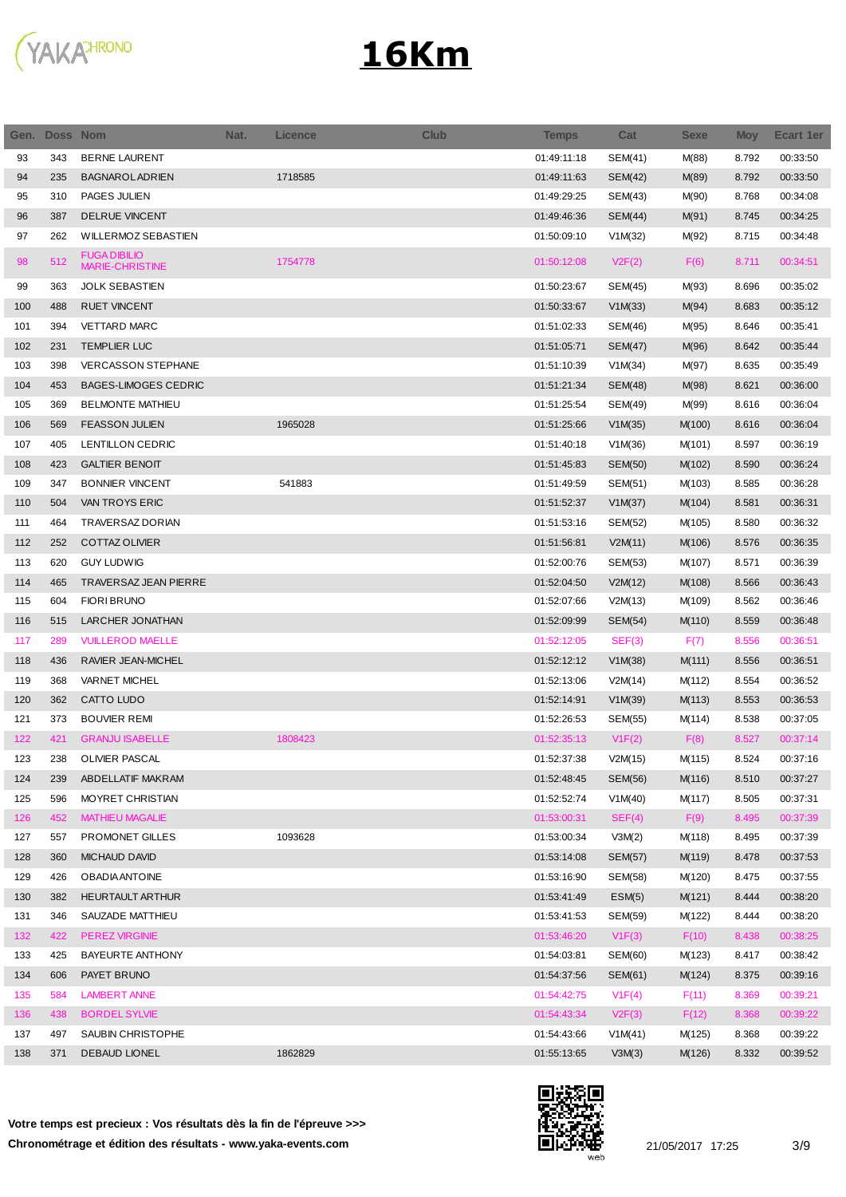

| Gen. | Doss Nom |                                               | Nat. | <b>Licence</b> | <b>Club</b> | <b>Temps</b> | Cat            | <b>Sexe</b> | <b>Moy</b> | <b>Ecart 1er</b> |
|------|----------|-----------------------------------------------|------|----------------|-------------|--------------|----------------|-------------|------------|------------------|
| 93   | 343      | <b>BERNE LAURENT</b>                          |      |                |             | 01:49:11:18  | SEM(41)        | M(88)       | 8.792      | 00:33:50         |
| 94   | 235      | <b>BAGNAROLADRIEN</b>                         |      | 1718585        |             | 01:49:11:63  | SEM(42)        | M(89)       | 8.792      | 00:33:50         |
| 95   | 310      | PAGES JULIEN                                  |      |                |             | 01:49:29:25  | SEM(43)        | M(90)       | 8.768      | 00:34:08         |
| 96   | 387      | DELRUE VINCENT                                |      |                |             | 01:49:46:36  | SEM(44)        | M(91)       | 8.745      | 00:34:25         |
| 97   | 262      | WILLERMOZ SEBASTIEN                           |      |                |             | 01:50:09:10  | V1M(32)        | M(92)       | 8.715      | 00:34:48         |
| 98   | 512      | <b>FUGA DIBILIO</b><br><b>MARIE-CHRISTINE</b> |      | 1754778        |             | 01:50:12:08  | V2F(2)         | F(6)        | 8.711      | 00:34:51         |
| 99   | 363      | <b>JOLK SEBASTIEN</b>                         |      |                |             | 01:50:23:67  | SEM(45)        | M(93)       | 8.696      | 00:35:02         |
| 100  | 488      | <b>RUET VINCENT</b>                           |      |                |             | 01:50:33:67  | V1M(33)        | M(94)       | 8.683      | 00:35:12         |
| 101  | 394      | <b>VETTARD MARC</b>                           |      |                |             | 01:51:02:33  | SEM(46)        | M(95)       | 8.646      | 00:35:41         |
| 102  | 231      | <b>TEMPLIER LUC</b>                           |      |                |             | 01:51:05:71  | <b>SEM(47)</b> | M(96)       | 8.642      | 00:35:44         |
| 103  | 398      | <b>VERCASSON STEPHANE</b>                     |      |                |             | 01:51:10:39  | V1M(34)        | M(97)       | 8.635      | 00:35:49         |
| 104  | 453      | <b>BAGES-LIMOGES CEDRIC</b>                   |      |                |             | 01:51:21:34  | SEM(48)        | M(98)       | 8.621      | 00:36:00         |
| 105  | 369      | <b>BELMONTE MATHIEU</b>                       |      |                |             | 01:51:25:54  | SEM(49)        | M(99)       | 8.616      | 00:36:04         |
| 106  | 569      | <b>FEASSON JULIEN</b>                         |      | 1965028        |             | 01:51:25:66  | V1M(35)        | M(100)      | 8.616      | 00:36:04         |
| 107  | 405      | LENTILLON CEDRIC                              |      |                |             | 01:51:40:18  | V1M(36)        | M(101)      | 8.597      | 00:36:19         |
| 108  | 423      | <b>GALTIER BENOIT</b>                         |      |                |             | 01:51:45:83  | SEM(50)        | M(102)      | 8.590      | 00:36:24         |
| 109  | 347      | <b>BONNIER VINCENT</b>                        |      | 541883         |             | 01:51:49:59  | SEM(51)        | M(103)      | 8.585      | 00:36:28         |
| 110  | 504      | VAN TROYS ERIC                                |      |                |             | 01:51:52:37  | V1M(37)        | M(104)      | 8.581      | 00:36:31         |
| 111  | 464      | <b>TRAVERSAZ DORIAN</b>                       |      |                |             | 01:51:53:16  | SEM(52)        | M(105)      | 8.580      | 00:36:32         |
| 112  | 252      | <b>COTTAZ OLIVIER</b>                         |      |                |             | 01:51:56:81  | V2M(11)        | M(106)      | 8.576      | 00:36:35         |
| 113  | 620      | <b>GUY LUDWIG</b>                             |      |                |             | 01:52:00:76  | SEM(53)        | M(107)      | 8.571      | 00:36:39         |
| 114  | 465      | TRAVERSAZ JEAN PIERRE                         |      |                |             | 01:52:04:50  | V2M(12)        | M(108)      | 8.566      | 00:36:43         |
| 115  | 604      | <b>FIORI BRUNO</b>                            |      |                |             | 01:52:07:66  | V2M(13)        | M(109)      | 8.562      | 00:36:46         |
| 116  | 515      | <b>LARCHER JONATHAN</b>                       |      |                |             | 01:52:09:99  | SEM(54)        | M(110)      | 8.559      | 00:36:48         |
| 117  | 289      | <b>VUILLEROD MAELLE</b>                       |      |                |             | 01:52:12:05  | SEF(3)         | F(7)        | 8.556      | 00:36:51         |
| 118  | 436      | RAVIER JEAN-MICHEL                            |      |                |             | 01:52:12:12  | V1M(38)        | M(111)      | 8.556      | 00:36:51         |
| 119  | 368      | <b>VARNET MICHEL</b>                          |      |                |             | 01:52:13:06  | V2M(14)        | M(112)      | 8.554      | 00:36:52         |
| 120  | 362      | CATTO LUDO                                    |      |                |             | 01:52:14:91  | V1M(39)        | M(113)      | 8.553      | 00:36:53         |
| 121  | 373      | <b>BOUVIER REMI</b>                           |      |                |             | 01:52:26:53  | SEM(55)        | M(114)      | 8.538      | 00:37:05         |
| 122  | 421      | <b>GRANJU ISABELLE</b>                        |      | 1808423        |             | 01:52:35:13  | V1F(2)         | F(8)        | 8.527      | 00:37:14         |
| 123  | 238      | OLIVIER PASCAL                                |      |                |             | 01:52:37:38  | V2M(15)        | M(115)      | 8.524      | 00:37:16         |
| 124  | 239      | ABDELLATIF MAKRAM                             |      |                |             | 01:52:48:45  | SEM(56)        | M(116)      | 8.510      | 00:37:27         |
| 125  | 596      | MOYRET CHRISTIAN                              |      |                |             | 01:52:52:74  | V1M(40)        | M(117)      | 8.505      | 00:37:31         |
| 126  | 452      | <b>MATHIEU MAGALIE</b>                        |      |                |             | 01:53:00:31  | SEF(4)         | F(9)        | 8.495      | 00:37:39         |
| 127  | 557      | PROMONET GILLES                               |      | 1093628        |             | 01:53:00:34  | V3M(2)         | M(118)      | 8.495      | 00:37:39         |
| 128  | 360      | <b>MICHAUD DAVID</b>                          |      |                |             | 01:53:14:08  | <b>SEM(57)</b> | M(119)      | 8.478      | 00:37:53         |
| 129  | 426      | <b>OBADIA ANTOINE</b>                         |      |                |             | 01:53:16:90  |                |             | 8.475      | 00:37:55         |
|      |          |                                               |      |                |             |              | SEM(58)        | M(120)      |            |                  |
| 130  | 382      | <b>HEURTAULT ARTHUR</b>                       |      |                |             | 01:53:41:49  | ESM(5)         | M(121)      | 8.444      | 00:38:20         |
| 131  | 346      | SAUZADE MATTHIEU                              |      |                |             | 01:53:41:53  | SEM(59)        | M(122)      | 8.444      | 00:38:20         |
| 132  | 422      | <b>PEREZ VIRGINIE</b>                         |      |                |             | 01:53:46:20  | V1F(3)         | F(10)       | 8.438      | 00:38:25         |
| 133  | 425      | BAYEURTE ANTHONY                              |      |                |             | 01:54:03:81  | SEM(60)        | M(123)      | 8.417      | 00:38:42         |
| 134  | 606      | PAYET BRUNO                                   |      |                |             | 01:54:37:56  | SEM(61)        | M(124)      | 8.375      | 00:39:16         |
| 135  | 584      | <b>LAMBERT ANNE</b>                           |      |                |             | 01:54:42:75  | V1F(4)         | F(11)       | 8.369      | 00:39:21         |
| 136  | 438      | <b>BORDEL SYLVIE</b>                          |      |                |             | 01:54:43:34  | V2F(3)         | F(12)       | 8.368      | 00:39:22         |
| 137  | 497      | SAUBIN CHRISTOPHE                             |      |                |             | 01:54:43:66  | V1M(41)        | M(125)      | 8.368      | 00:39:22         |
| 138  | 371      | <b>DEBAUD LIONEL</b>                          |      | 1862829        |             | 01:55:13:65  | V3M(3)         | M(126)      | 8.332      | 00:39:52         |

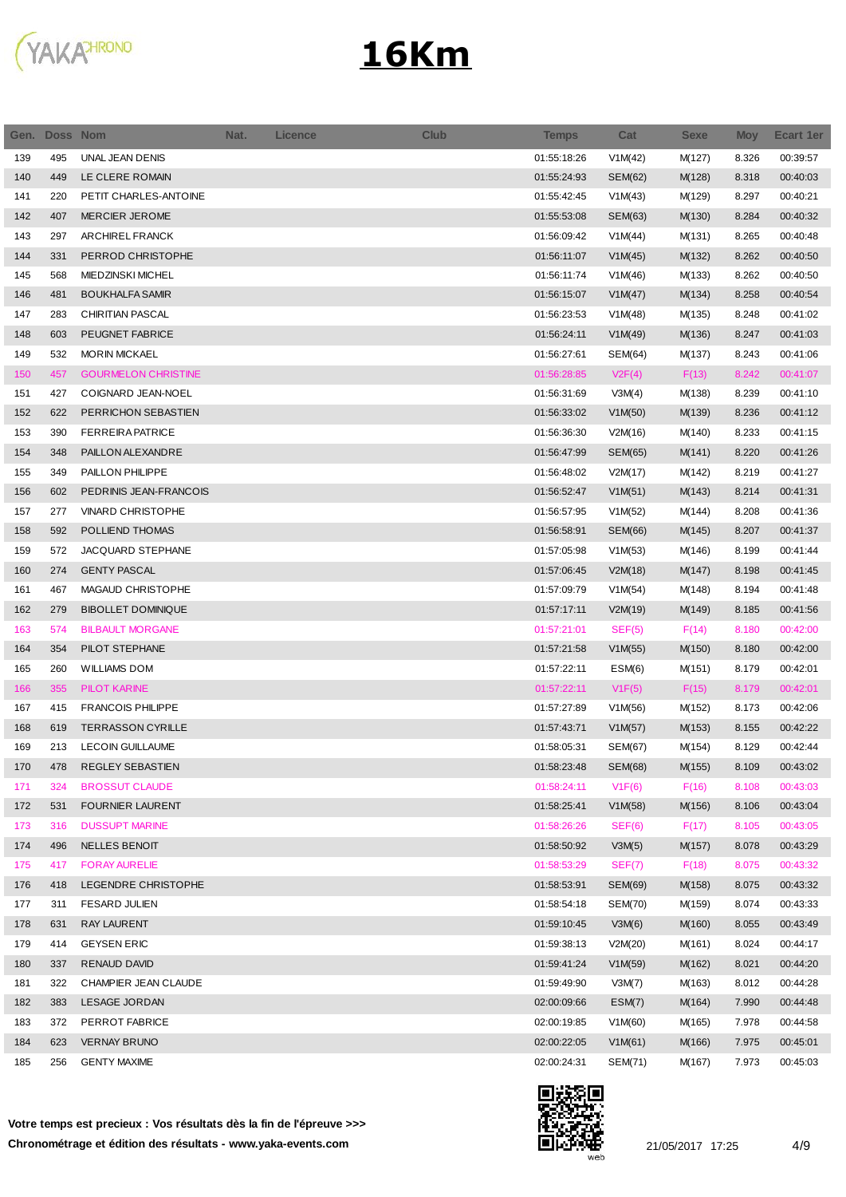

| Gen. | <b>Doss Nom</b> |                            | Nat. | <b>Licence</b> | <b>Club</b> | <b>Temps</b> | Cat            | Sexe   | <b>Moy</b> | <b>Ecart 1er</b> |
|------|-----------------|----------------------------|------|----------------|-------------|--------------|----------------|--------|------------|------------------|
| 139  | 495             | UNAL JEAN DENIS            |      |                |             | 01:55:18:26  | V1M(42)        | M(127) | 8.326      | 00:39:57         |
| 140  | 449             | LE CLERE ROMAIN            |      |                |             | 01:55:24:93  | SEM(62)        | M(128) | 8.318      | 00:40:03         |
| 141  | 220             | PETIT CHARLES-ANTOINE      |      |                |             | 01:55:42:45  | V1M(43)        | M(129) | 8.297      | 00:40:21         |
| 142  | 407             | <b>MERCIER JEROME</b>      |      |                |             | 01:55:53:08  | SEM(63)        | M(130) | 8.284      | 00:40:32         |
| 143  | 297             | <b>ARCHIREL FRANCK</b>     |      |                |             | 01:56:09:42  | V1M(44)        | M(131) | 8.265      | 00:40:48         |
| 144  | 331             | PERROD CHRISTOPHE          |      |                |             | 01:56:11:07  | V1M(45)        | M(132) | 8.262      | 00:40:50         |
| 145  | 568             | <b>MIEDZINSKI MICHEL</b>   |      |                |             | 01:56:11:74  | V1M(46)        | M(133) | 8.262      | 00:40:50         |
| 146  | 481             | <b>BOUKHALFA SAMIR</b>     |      |                |             | 01:56:15:07  | V1M(47)        | M(134) | 8.258      | 00:40:54         |
| 147  | 283             | <b>CHIRITIAN PASCAL</b>    |      |                |             | 01:56:23:53  | V1M(48)        | M(135) | 8.248      | 00:41:02         |
| 148  | 603             | PEUGNET FABRICE            |      |                |             | 01:56:24:11  | V1M(49)        | M(136) | 8.247      | 00:41:03         |
| 149  | 532             | <b>MORIN MICKAEL</b>       |      |                |             | 01:56:27:61  | SEM(64)        | M(137) | 8.243      | 00:41:06         |
| 150  | 457             | <b>GOURMELON CHRISTINE</b> |      |                |             | 01:56:28:85  | V2F(4)         | F(13)  | 8.242      | 00:41:07         |
| 151  | 427             | COIGNARD JEAN-NOEL         |      |                |             | 01:56:31:69  | V3M(4)         | M(138) | 8.239      | 00:41:10         |
| 152  | 622             | PERRICHON SEBASTIEN        |      |                |             | 01:56:33:02  | V1M(50)        | M(139) | 8.236      | 00:41:12         |
| 153  | 390             | <b>FERREIRA PATRICE</b>    |      |                |             | 01:56:36:30  | V2M(16)        | M(140) | 8.233      | 00:41:15         |
| 154  | 348             | PAILLON ALEXANDRE          |      |                |             | 01:56:47:99  | SEM(65)        | M(141) | 8.220      | 00:41:26         |
| 155  | 349             | PAILLON PHILIPPE           |      |                |             | 01:56:48:02  | V2M(17)        | M(142) | 8.219      | 00:41:27         |
| 156  | 602             | PEDRINIS JEAN-FRANCOIS     |      |                |             | 01:56:52:47  | V1M(51)        | M(143) | 8.214      | 00:41:31         |
| 157  | 277             | <b>VINARD CHRISTOPHE</b>   |      |                |             | 01:56:57:95  | V1M(52)        | M(144) | 8.208      | 00:41:36         |
| 158  | 592             | POLLIEND THOMAS            |      |                |             | 01:56:58:91  | <b>SEM(66)</b> | M(145) | 8.207      | 00:41:37         |
| 159  | 572             | JACQUARD STEPHANE          |      |                |             | 01:57:05:98  | V1M(53)        | M(146) | 8.199      | 00:41:44         |
| 160  | 274             | <b>GENTY PASCAL</b>        |      |                |             | 01:57:06:45  | V2M(18)        | M(147) | 8.198      | 00:41:45         |
| 161  | 467             | MAGAUD CHRISTOPHE          |      |                |             | 01:57:09:79  | V1M(54)        | M(148) | 8.194      | 00:41:48         |
| 162  | 279             | <b>BIBOLLET DOMINIQUE</b>  |      |                |             | 01:57:17:11  | V2M(19)        | M(149) | 8.185      | 00:41:56         |
| 163  | 574             | <b>BILBAULT MORGANE</b>    |      |                |             | 01:57:21:01  | SEF(5)         | F(14)  | 8.180      | 00:42:00         |
| 164  | 354             | PILOT STEPHANE             |      |                |             | 01:57:21:58  | V1M(55)        | M(150) | 8.180      | 00:42:00         |
| 165  | 260             | WILLIAMS DOM               |      |                |             | 01:57:22:11  | ESM(6)         | M(151) | 8.179      | 00:42:01         |
| 166  | 355             | <b>PILOT KARINE</b>        |      |                |             | 01:57:22:11  | V1F(5)         | F(15)  | 8.179      | 00:42:01         |
| 167  | 415             | <b>FRANCOIS PHILIPPE</b>   |      |                |             | 01:57:27:89  | V1M(56)        | M(152) | 8.173      | 00:42:06         |
| 168  | 619             | <b>TERRASSON CYRILLE</b>   |      |                |             | 01:57:43:71  | V1M(57)        | M(153) | 8.155      | 00:42:22         |
| 169  | 213             | <b>LECOIN GUILLAUME</b>    |      |                |             | 01:58:05:31  | SEM(67)        | M(154) | 8.129      | 00:42:44         |
| 170  | 478             | REGLEY SEBASTIEN           |      |                |             | 01:58:23:48  | <b>SEM(68)</b> | M(155) | 8.109      | 00:43:02         |
| 171  | 324             | <b>BROSSUT CLAUDE</b>      |      |                |             | 01:58:24:11  | V1F(6)         | F(16)  | 8.108      | 00:43:03         |
| 172  | 531             | <b>FOURNIER LAURENT</b>    |      |                |             | 01:58:25:41  | V1M(58)        | M(156) | 8.106      | 00:43:04         |
| 173  | 316             | <b>DUSSUPT MARINE</b>      |      |                |             | 01:58:26:26  | SEF(6)         | F(17)  | 8.105      | 00:43:05         |
| 174  | 496             | <b>NELLES BENOIT</b>       |      |                |             | 01:58:50:92  | V3M(5)         | M(157) | 8.078      | 00:43:29         |
| 175  | 417             | <b>FORAY AURELIE</b>       |      |                |             | 01:58:53:29  | SEF(7)         | F(18)  | 8.075      | 00:43:32         |
| 176  | 418             | LEGENDRE CHRISTOPHE        |      |                |             | 01:58:53:91  | <b>SEM(69)</b> | M(158) | 8.075      | 00:43:32         |
| 177  | 311             | <b>FESARD JULIEN</b>       |      |                |             | 01:58:54:18  | SEM(70)        | M(159) | 8.074      | 00:43:33         |
| 178  | 631             | <b>RAY LAURENT</b>         |      |                |             | 01:59:10:45  | V3M(6)         | M(160) | 8.055      | 00:43:49         |
| 179  | 414             | <b>GEYSEN ERIC</b>         |      |                |             | 01:59:38:13  | V2M(20)        | M(161) | 8.024      | 00:44:17         |
| 180  | 337             | <b>RENAUD DAVID</b>        |      |                |             | 01:59:41:24  | V1M(59)        | M(162) | 8.021      | 00:44:20         |
| 181  | 322             | CHAMPIER JEAN CLAUDE       |      |                |             | 01:59:49:90  | V3M(7)         | M(163) | 8.012      | 00:44:28         |
| 182  | 383             | <b>LESAGE JORDAN</b>       |      |                |             | 02:00:09:66  | ESM(7)         | M(164) | 7.990      | 00:44:48         |
| 183  | 372             | PERROT FABRICE             |      |                |             | 02:00:19:85  | V1M(60)        | M(165) | 7.978      | 00:44:58         |
| 184  | 623             | <b>VERNAY BRUNO</b>        |      |                |             | 02:00:22:05  | V1M(61)        | M(166) | 7.975      | 00:45:01         |
| 185  | 256             | <b>GENTY MAXIME</b>        |      |                |             | 02:00:24:31  | SEM(71)        | M(167) | 7.973      | 00:45:03         |

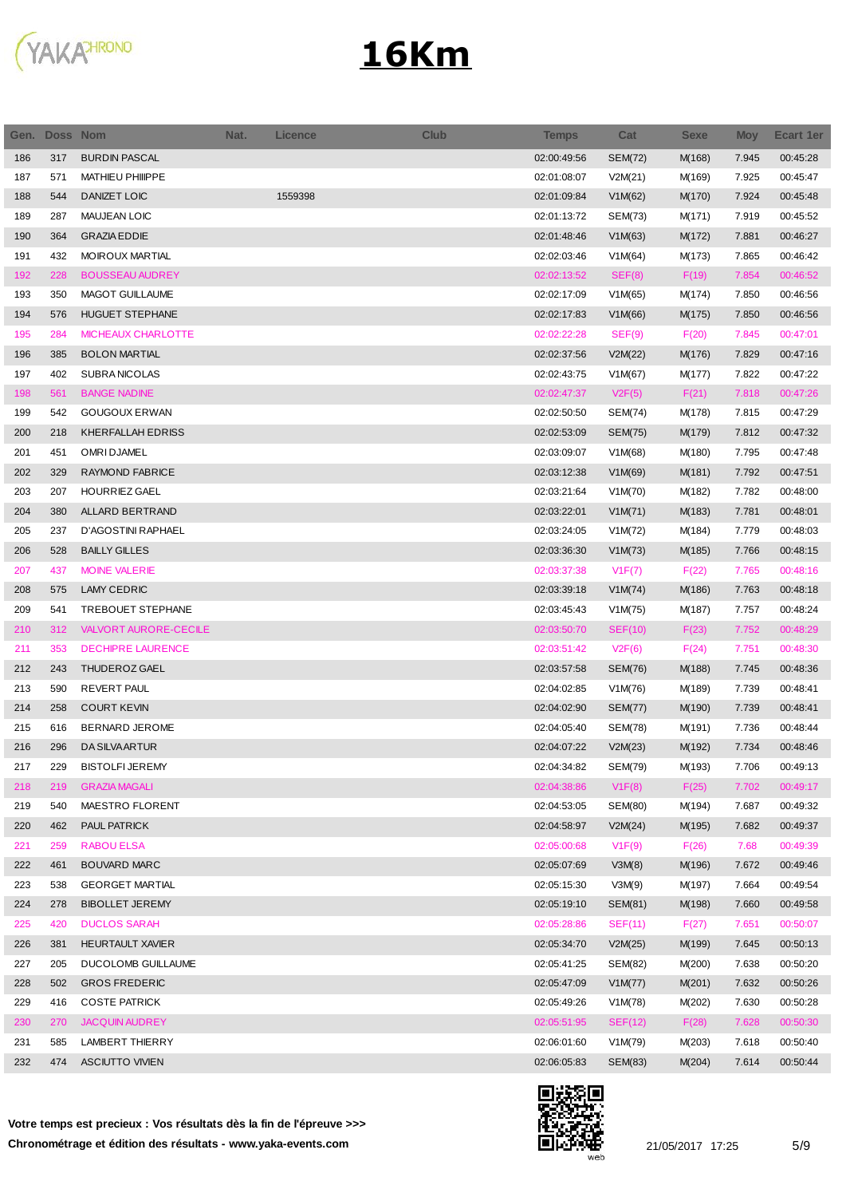

| Gen. | Doss Nom |                          | Nat. | <b>Licence</b> | <b>Club</b> | <b>Temps</b> | Cat            | <b>Sexe</b> | <b>Moy</b> | <b>Ecart 1er</b> |
|------|----------|--------------------------|------|----------------|-------------|--------------|----------------|-------------|------------|------------------|
| 186  | 317      | <b>BURDIN PASCAL</b>     |      |                |             | 02:00:49:56  | <b>SEM(72)</b> | M(168)      | 7.945      | 00:45:28         |
| 187  | 571      | MATHIEU PHIIIPPE         |      |                |             | 02:01:08:07  | V2M(21)        | M(169)      | 7.925      | 00:45:47         |
| 188  | 544      | DANIZET LOIC             |      | 1559398        |             | 02:01:09:84  | V1M(62)        | M(170)      | 7.924      | 00:45:48         |
| 189  | 287      | <b>MAUJEAN LOIC</b>      |      |                |             | 02:01:13:72  | SEM(73)        | M(171)      | 7.919      | 00:45:52         |
| 190  | 364      | <b>GRAZIA EDDIE</b>      |      |                |             | 02:01:48:46  | V1M(63)        | M(172)      | 7.881      | 00:46:27         |
| 191  | 432      | <b>MOIROUX MARTIAL</b>   |      |                |             | 02:02:03:46  | V1M(64)        | M(173)      | 7.865      | 00:46:42         |
| 192  | 228      | <b>BOUSSEAU AUDREY</b>   |      |                |             | 02:02:13:52  | SEF(8)         | F(19)       | 7.854      | 00:46:52         |
| 193  | 350      | MAGOT GUILLAUME          |      |                |             | 02:02:17:09  | V1M(65)        | M(174)      | 7.850      | 00:46:56         |
| 194  | 576      | <b>HUGUET STEPHANE</b>   |      |                |             | 02:02:17:83  | V1M(66)        | M(175)      | 7.850      | 00:46:56         |
| 195  | 284      | MICHEAUX CHARLOTTE       |      |                |             | 02:02:22:28  | SEF(9)         | F(20)       | 7.845      | 00:47:01         |
| 196  | 385      | <b>BOLON MARTIAL</b>     |      |                |             | 02:02:37:56  | V2M(22)        | M(176)      | 7.829      | 00:47:16         |
| 197  | 402      | SUBRA NICOLAS            |      |                |             | 02:02:43:75  | V1M(67)        | M(177)      | 7.822      | 00:47:22         |
| 198  | 561      | <b>BANGE NADINE</b>      |      |                |             | 02:02:47:37  | V2F(5)         | F(21)       | 7.818      | 00:47:26         |
| 199  | 542      | <b>GOUGOUX ERWAN</b>     |      |                |             | 02:02:50:50  | SEM(74)        | M(178)      | 7.815      | 00:47:29         |
| 200  | 218      | <b>KHERFALLAH EDRISS</b> |      |                |             | 02:02:53:09  | <b>SEM(75)</b> | M(179)      | 7.812      | 00:47:32         |
| 201  | 451      | <b>OMRI DJAMEL</b>       |      |                |             | 02:03:09:07  | V1M(68)        | M(180)      | 7.795      | 00:47:48         |
| 202  | 329      | RAYMOND FABRICE          |      |                |             | 02:03:12:38  | V1M(69)        | M(181)      | 7.792      | 00:47:51         |
| 203  | 207      | HOURRIEZ GAEL            |      |                |             | 02:03:21:64  | V1M(70)        | M(182)      | 7.782      | 00:48:00         |
| 204  | 380      | ALLARD BERTRAND          |      |                |             | 02:03:22:01  | V1M(71)        | M(183)      | 7.781      | 00:48:01         |
| 205  | 237      | D'AGOSTINI RAPHAEL       |      |                |             | 02:03:24:05  | V1M(72)        | M(184)      | 7.779      | 00:48:03         |
| 206  | 528      | <b>BAILLY GILLES</b>     |      |                |             | 02:03:36:30  | V1M(73)        | M(185)      | 7.766      | 00:48:15         |
| 207  | 437      | <b>MOINE VALERIE</b>     |      |                |             | 02:03:37:38  | V1F(7)         | F(22)       | 7.765      | 00:48:16         |
| 208  | 575      | LAMY CEDRIC              |      |                |             | 02:03:39:18  | V1M(74)        | M(186)      | 7.763      | 00:48:18         |
| 209  | 541      | TREBOUET STEPHANE        |      |                |             | 02:03:45:43  | V1M(75)        | M(187)      | 7.757      | 00:48:24         |
| 210  | 312      | VALVORT AURORE-CECILE    |      |                |             | 02:03:50:70  | SEF(10)        | F(23)       | 7.752      | 00:48:29         |
| 211  | 353      | <b>DECHIPRE LAURENCE</b> |      |                |             | 02:03:51:42  | V2F(6)         | F(24)       | 7.751      | 00:48:30         |
| 212  | 243      | THUDEROZ GAEL            |      |                |             | 02:03:57:58  | <b>SEM(76)</b> | M(188)      | 7.745      | 00:48:36         |
| 213  | 590      | <b>REVERT PAUL</b>       |      |                |             | 02:04:02:85  | V1M(76)        | M(189)      | 7.739      | 00:48:41         |
| 214  | 258      | <b>COURT KEVIN</b>       |      |                |             | 02:04:02:90  | <b>SEM(77)</b> | M(190)      | 7.739      | 00:48:41         |
| 215  | 616      | BERNARD JEROME           |      |                |             | 02:04:05:40  | SEM(78)        | M(191)      | 7.736      | 00:48:44         |
| 216  | 296      | <b>DA SILVA ARTUR</b>    |      |                |             | 02:04:07:22  | V2M(23)        | M(192)      | 7.734      | 00:48:46         |
| 217  | 229      | <b>BISTOLFI JEREMY</b>   |      |                |             | 02:04:34:82  | <b>SEM(79)</b> | M(193)      | 7.706      | 00:49:13         |
| 218  | 219      | <b>GRAZIA MAGALI</b>     |      |                |             | 02:04:38:86  | V1F(8)         | F(25)       | 7.702      | 00:49:17         |
| 219  | 540      | MAESTRO FLORENT          |      |                |             | 02:04:53:05  | SEM(80)        | M(194)      | 7.687      | 00:49:32         |
| 220  | 462      | PAUL PATRICK             |      |                |             | 02:04:58:97  | V2M(24)        | M(195)      | 7.682      | 00:49:37         |
| 221  | 259      | <b>RABOU ELSA</b>        |      |                |             | 02:05:00:68  | V1F(9)         | F(26)       | 7.68       | 00:49:39         |
| 222  | 461      | <b>BOUVARD MARC</b>      |      |                |             | 02:05:07:69  | V3M(8)         | M(196)      | 7.672      | 00:49:46         |
| 223  | 538      | <b>GEORGET MARTIAL</b>   |      |                |             | 02:05:15:30  | V3M(9)         | M(197)      | 7.664      | 00:49:54         |
| 224  | 278      | <b>BIBOLLET JEREMY</b>   |      |                |             | 02:05:19:10  | SEM(81)        | M(198)      | 7.660      | 00:49:58         |
| 225  | 420      | <b>DUCLOS SARAH</b>      |      |                |             | 02:05:28:86  | SEF(11)        | F(27)       | 7.651      | 00:50:07         |
| 226  | 381      | <b>HEURTAULT XAVIER</b>  |      |                |             | 02:05:34:70  | V2M(25)        | M(199)      | 7.645      | 00:50:13         |
| 227  | 205      | DUCOLOMB GUILLAUME       |      |                |             | 02:05:41:25  | SEM(82)        | M(200)      | 7.638      | 00:50:20         |
| 228  | 502      | <b>GROS FREDERIC</b>     |      |                |             | 02:05:47:09  | V1M(77)        | M(201)      | 7.632      | 00:50:26         |
| 229  | 416      | <b>COSTE PATRICK</b>     |      |                |             | 02:05:49:26  | V1M(78)        | M(202)      | 7.630      | 00:50:28         |
| 230  | 270      | <b>JACQUIN AUDREY</b>    |      |                |             | 02:05:51:95  | SEF(12)        | F(28)       | 7.628      | 00:50:30         |
| 231  | 585      | LAMBERT THIERRY          |      |                |             | 02:06:01:60  | V1M(79)        | M(203)      | 7.618      | 00:50:40         |
| 232  | 474      | <b>ASCIUTTO VIVIEN</b>   |      |                |             | 02:06:05:83  | SEM(83)        | M(204)      | 7.614      | 00:50:44         |
|      |          |                          |      |                |             |              |                |             |            |                  |



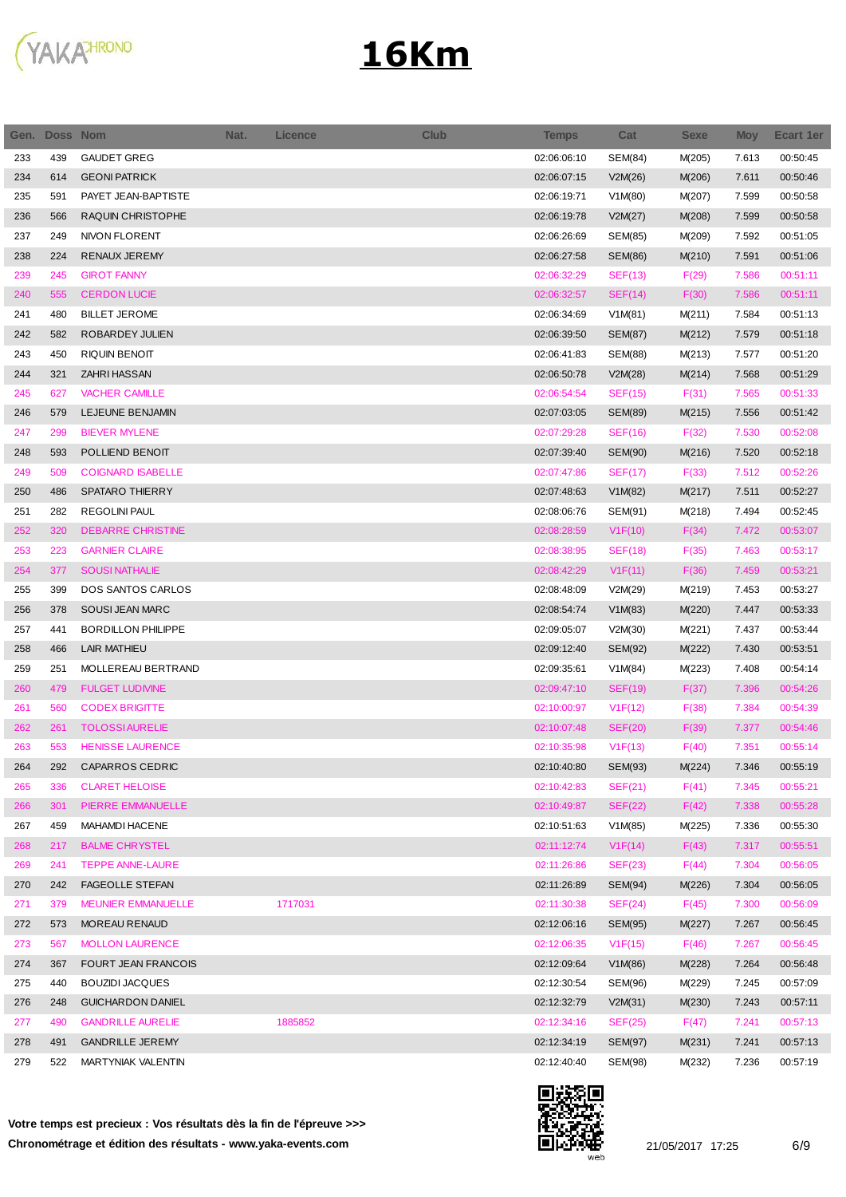

| Gen. | <b>Doss Nom</b> |                           | Nat. | <b>Licence</b> | <b>Club</b> | <b>Temps</b> | Cat            | <b>Sexe</b> | <b>Moy</b> | <b>Ecart 1er</b> |
|------|-----------------|---------------------------|------|----------------|-------------|--------------|----------------|-------------|------------|------------------|
| 233  | 439             | <b>GAUDET GREG</b>        |      |                |             | 02:06:06:10  | <b>SEM(84)</b> | M(205)      | 7.613      | 00:50:45         |
| 234  | 614             | <b>GEONI PATRICK</b>      |      |                |             | 02:06:07:15  | V2M(26)        | M(206)      | 7.611      | 00:50:46         |
| 235  | 591             | PAYET JEAN-BAPTISTE       |      |                |             | 02:06:19:71  | V1M(80)        | M(207)      | 7.599      | 00:50:58         |
| 236  | 566             | RAQUIN CHRISTOPHE         |      |                |             | 02:06:19:78  | V2M(27)        | M(208)      | 7.599      | 00:50:58         |
| 237  | 249             | <b>NIVON FLORENT</b>      |      |                |             | 02:06:26:69  | SEM(85)        | M(209)      | 7.592      | 00:51:05         |
| 238  | 224             | RENAUX JEREMY             |      |                |             | 02:06:27:58  | <b>SEM(86)</b> | M(210)      | 7.591      | 00:51:06         |
| 239  | 245             | <b>GIROT FANNY</b>        |      |                |             | 02:06:32:29  | SEF(13)        | F(29)       | 7.586      | 00:51:11         |
| 240  | 555             | <b>CERDON LUCIE</b>       |      |                |             | 02:06:32:57  | SEF(14)        | F(30)       | 7.586      | 00:51:11         |
| 241  | 480             | <b>BILLET JEROME</b>      |      |                |             | 02:06:34:69  | V1M(81)        | M(211)      | 7.584      | 00:51:13         |
| 242  | 582             | ROBARDEY JULIEN           |      |                |             | 02:06:39:50  | <b>SEM(87)</b> | M(212)      | 7.579      | 00:51:18         |
| 243  | 450             | <b>RIQUIN BENOIT</b>      |      |                |             | 02:06:41:83  | SEM(88)        | M(213)      | 7.577      | 00:51:20         |
| 244  | 321             | ZAHRI HASSAN              |      |                |             | 02:06:50:78  | V2M(28)        | M(214)      | 7.568      | 00:51:29         |
| 245  | 627             | <b>VACHER CAMILLE</b>     |      |                |             | 02:06:54:54  | SEF(15)        | F(31)       | 7.565      | 00:51:33         |
| 246  | 579             | LEJEUNE BENJAMIN          |      |                |             | 02:07:03:05  | <b>SEM(89)</b> | M(215)      | 7.556      | 00:51:42         |
| 247  | 299             | <b>BIEVER MYLENE</b>      |      |                |             | 02:07:29:28  | <b>SEF(16)</b> | F(32)       | 7.530      | 00:52:08         |
| 248  | 593             | POLLIEND BENOIT           |      |                |             | 02:07:39:40  | SEM(90)        | M(216)      | 7.520      | 00:52:18         |
| 249  | 509             | <b>COIGNARD ISABELLE</b>  |      |                |             | 02:07:47:86  | <b>SEF(17)</b> | F(33)       | 7.512      | 00:52:26         |
| 250  | 486             | <b>SPATARO THIERRY</b>    |      |                |             | 02:07:48:63  | V1M(82)        | M(217)      | 7.511      | 00:52:27         |
| 251  | 282             | <b>REGOLINI PAUL</b>      |      |                |             | 02:08:06:76  | SEM(91)        | M(218)      | 7.494      | 00:52:45         |
| 252  | 320             | <b>DEBARRE CHRISTINE</b>  |      |                |             | 02:08:28:59  | V1F(10)        | F(34)       | 7.472      | 00:53:07         |
| 253  | 223             | <b>GARNIER CLAIRE</b>     |      |                |             | 02:08:38:95  | <b>SEF(18)</b> | F(35)       | 7.463      | 00:53:17         |
| 254  | 377             | <b>SOUSINATHALIE</b>      |      |                |             | 02:08:42:29  | V1F(11)        | F(36)       | 7.459      | 00:53:21         |
| 255  | 399             | DOS SANTOS CARLOS         |      |                |             | 02:08:48:09  | V2M(29)        | M(219)      | 7.453      | 00:53:27         |
| 256  | 378             | SOUSI JEAN MARC           |      |                |             | 02:08:54:74  | V1M(83)        | M(220)      | 7.447      | 00:53:33         |
| 257  | 441             | <b>BORDILLON PHILIPPE</b> |      |                |             | 02:09:05:07  | V2M(30)        | M(221)      | 7.437      | 00:53:44         |
|      |                 |                           |      |                |             |              |                |             |            |                  |
| 258  | 466             | LAIR MATHIEU              |      |                |             | 02:09:12:40  | SEM(92)        | M(222)      | 7.430      | 00:53:51         |
| 259  | 251             | MOLLEREAU BERTRAND        |      |                |             | 02:09:35:61  | V1M(84)        | M(223)      | 7.408      | 00:54:14         |
| 260  | 479             | <b>FULGET LUDIVINE</b>    |      |                |             | 02:09:47:10  | SEF(19)        | F(37)       | 7.396      | 00:54:26         |
| 261  | 560             | <b>CODEX BRIGITTE</b>     |      |                |             | 02:10:00:97  | V1F(12)        | F(38)       | 7.384      | 00:54:39         |
| 262  | 261             | <b>TOLOSSIAURELIE</b>     |      |                |             | 02:10:07:48  | SEF(20)        | F(39)       | 7.377      | 00:54:46         |
| 263  | 553             | <b>HENISSE LAURENCE</b>   |      |                |             | 02:10:35:98  | V1F(13)        | F(40)       | 7.351      | 00:55:14         |
| 264  | 292             | CAPARROS CEDRIC           |      |                |             | 02:10:40:80  | SEM(93)        | M(224)      | 7.346      | 00:55:19         |
| 265  | 336             | <b>CLARET HELOISE</b>     |      |                |             | 02:10:42:83  | SEF(21)        | F(41)       | 7.345      | 00:55:21         |
| 266  | 301             | PIERRE EMMANUELLE         |      |                |             | 02:10:49:87  | SEF(22)        | F(42)       | 7.338      | 00:55:28         |
| 267  | 459             | MAHAMDI HACENE            |      |                |             | 02:10:51:63  | V1M(85)        | M(225)      | 7.336      | 00:55:30         |
| 268  | 217             | <b>BALME CHRYSTEL</b>     |      |                |             | 02:11:12:74  | V1F(14)        | F(43)       | 7.317      | 00:55:51         |
| 269  | 241             | <b>TEPPE ANNE-LAURE</b>   |      |                |             | 02:11:26:86  | SEF(23)        | F(44)       | 7.304      | 00:56:05         |
| 270  | 242             | <b>FAGEOLLE STEFAN</b>    |      |                |             | 02:11:26:89  | SEM(94)        | M(226)      | 7.304      | 00:56:05         |
| 271  | 379             | MEUNIER EMMANUELLE        |      | 1717031        |             | 02:11:30:38  | SEF(24)        | F(45)       | 7.300      | 00:56:09         |
| 272  | 573             | <b>MOREAU RENAUD</b>      |      |                |             | 02:12:06:16  | SEM(95)        | M(227)      | 7.267      | 00:56:45         |
| 273  | 567             | <b>MOLLON LAURENCE</b>    |      |                |             | 02:12:06:35  | V1F(15)        | F(46)       | 7.267      | 00:56:45         |
| 274  | 367             | FOURT JEAN FRANCOIS       |      |                |             | 02:12:09:64  | V1M(86)        | M(228)      | 7.264      | 00:56:48         |
| 275  | 440             | <b>BOUZIDI JACQUES</b>    |      |                |             | 02:12:30:54  | SEM(96)        | M(229)      | 7.245      | 00:57:09         |
| 276  | 248             | <b>GUICHARDON DANIEL</b>  |      |                |             | 02:12:32:79  | V2M(31)        | M(230)      | 7.243      | 00:57:11         |
| 277  | 490             | <b>GANDRILLE AURELIE</b>  |      | 1885852        |             | 02:12:34:16  | SEF(25)        | F(47)       | 7.241      | 00:57:13         |
| 278  | 491             | <b>GANDRILLE JEREMY</b>   |      |                |             | 02:12:34:19  | <b>SEM(97)</b> | M(231)      | 7.241      | 00:57:13         |
| 279  | 522             | MARTYNIAK VALENTIN        |      |                |             | 02:12:40:40  | SEM(98)        | M(232)      | 7.236      | 00:57:19         |

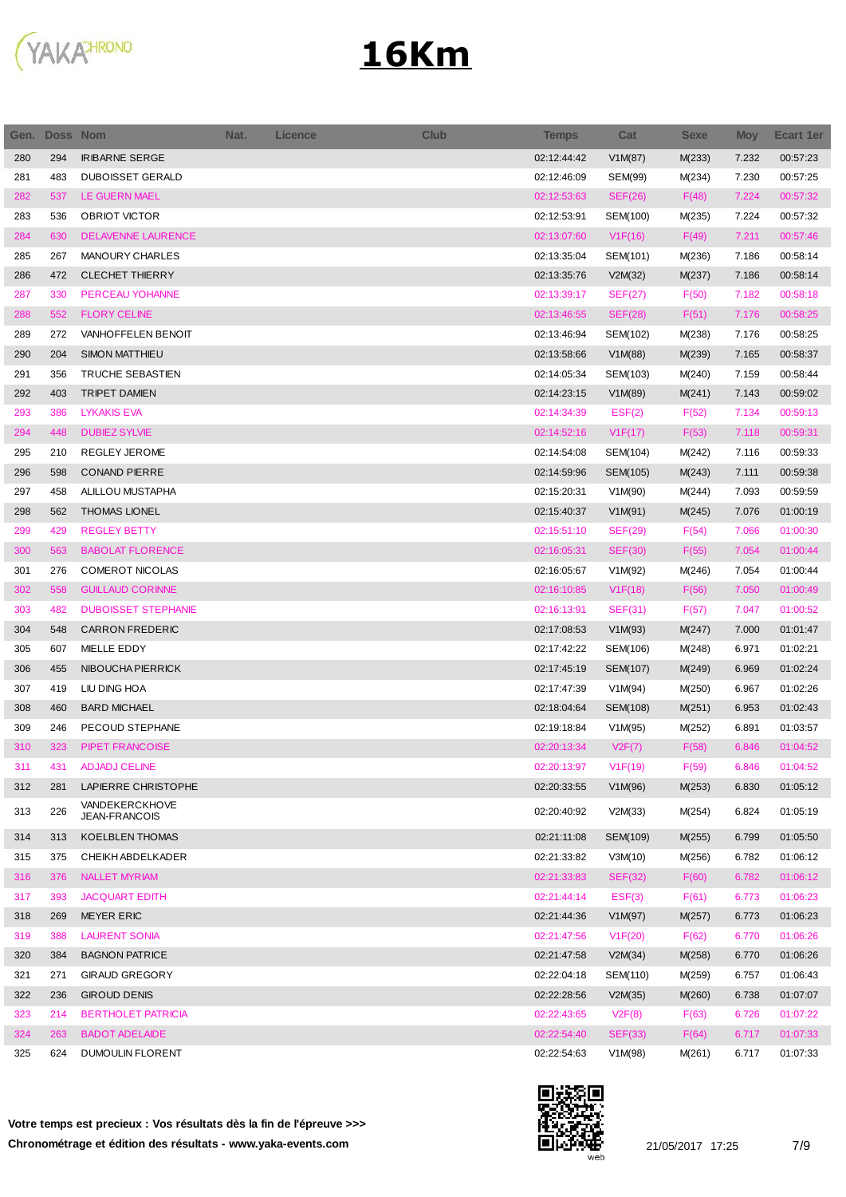

| Gen. | <b>Doss Nom</b> |                                 | Nat. | <b>Licence</b> | <b>Club</b> | <b>Temps</b> | Cat                  | <b>Sexe</b> | <b>Moy</b> | <b>Ecart 1er</b> |
|------|-----------------|---------------------------------|------|----------------|-------------|--------------|----------------------|-------------|------------|------------------|
| 280  | 294             | <b>IRIBARNE SERGE</b>           |      |                |             | 02:12:44:42  | V1M(87)              | M(233)      | 7.232      | 00:57:23         |
| 281  | 483             | <b>DUBOISSET GERALD</b>         |      |                |             | 02:12:46:09  | SEM(99)              | M(234)      | 7.230      | 00:57:25         |
| 282  | 537             | LE GUERN MAEL                   |      |                |             | 02:12:53:63  | SEF(26)              | F(48)       | 7.224      | 00:57:32         |
| 283  | 536             | <b>OBRIOT VICTOR</b>            |      |                |             | 02:12:53:91  | SEM(100)             | M(235)      | 7.224      | 00:57:32         |
| 284  | 630             | <b>DELAVENNE LAURENCE</b>       |      |                |             | 02:13:07:60  | V1F(16)              | F(49)       | 7.211      | 00:57:46         |
| 285  | 267             | MANOURY CHARLES                 |      |                |             | 02:13:35:04  | SEM(101)             | M(236)      | 7.186      | 00:58:14         |
| 286  | 472             | <b>CLECHET THIERRY</b>          |      |                |             | 02:13:35:76  | V2M(32)              | M(237)      | 7.186      | 00:58:14         |
| 287  | 330             | PERCEAU YOHANNE                 |      |                |             | 02:13:39:17  | SEF(27)              | F(50)       | 7.182      | 00:58:18         |
| 288  | 552             | <b>FLORY CELINE</b>             |      |                |             | 02:13:46:55  | <b>SEF(28)</b>       | F(51)       | 7.176      | 00:58:25         |
| 289  | 272             | VANHOFFELEN BENOIT              |      |                |             | 02:13:46:94  | SEM(102)             | M(238)      | 7.176      | 00:58:25         |
| 290  | 204             | <b>SIMON MATTHIEU</b>           |      |                |             | 02:13:58:66  | V1M(88)              | M(239)      | 7.165      | 00:58:37         |
| 291  | 356             | TRUCHE SEBASTIEN                |      |                |             | 02:14:05:34  | SEM(103)             | M(240)      | 7.159      | 00:58:44         |
| 292  | 403             | <b>TRIPET DAMIEN</b>            |      |                |             | 02:14:23:15  | V1M(89)              | M(241)      | 7.143      | 00:59:02         |
| 293  | 386             | <b>LYKAKIS EVA</b>              |      |                |             | 02:14:34:39  | EST(2)               | F(52)       | 7.134      | 00:59:13         |
| 294  | 448             | <b>DUBIEZ SYLVIE</b>            |      |                |             | 02:14:52:16  | V1F(17)              | F(53)       | 7.118      | 00:59:31         |
| 295  | 210             | REGLEY JEROME                   |      |                |             | 02:14:54:08  | SEM(104)             | M(242)      | 7.116      | 00:59:33         |
| 296  | 598             | <b>CONAND PIERRE</b>            |      |                |             | 02:14:59:96  | SEM(105)             | M(243)      | 7.111      | 00:59:38         |
| 297  | 458             | ALILLOU MUSTAPHA                |      |                |             | 02:15:20:31  | V1M(90)              | M(244)      | 7.093      | 00:59:59         |
| 298  | 562             | <b>THOMAS LIONEL</b>            |      |                |             | 02:15:40:37  | V1M(91)              | M(245)      | 7.076      | 01:00:19         |
| 299  | 429             | <b>REGLEY BETTY</b>             |      |                |             | 02:15:51:10  | SEF(29)              | F(54)       | 7.066      | 01:00:30         |
| 300  | 563             | <b>BABOLAT FLORENCE</b>         |      |                |             | 02:16:05:31  | <b>SEF(30)</b>       | F(55)       | 7.054      | 01:00:44         |
| 301  | 276             | COMEROT NICOLAS                 |      |                |             | 02:16:05:67  | V1M(92)              | M(246)      | 7.054      | 01:00:44         |
| 302  | 558             | <b>GUILLAUD CORINNE</b>         |      |                |             | 02:16:10:85  | V1F(18)              | F(56)       | 7.050      | 01:00:49         |
| 303  | 482             | <b>DUBOISSET STEPHANIE</b>      |      |                |             | 02:16:13:91  | SEF(31)              | F(57)       | 7.047      | 01:00:52         |
| 304  | 548             | <b>CARRON FREDERIC</b>          |      |                |             | 02:17:08:53  | V1M(93)              | M(247)      | 7.000      | 01:01:47         |
| 305  | 607             | MIELLE EDDY                     |      |                |             | 02:17:42:22  | SEM(106)             | M(248)      | 6.971      | 01:02:21         |
| 306  | 455             | NIBOUCHA PIERRICK               |      |                |             | 02:17:45:19  | SEM(107)             | M(249)      | 6.969      | 01:02:24         |
| 307  | 419             | LIU DING HOA                    |      |                |             | 02:17:47:39  | V1M(94)              | M(250)      | 6.967      | 01:02:26         |
| 308  | 460             | <b>BARD MICHAEL</b>             |      |                |             | 02:18:04:64  | SEM(108)             | M(251)      | 6.953      | 01:02:43         |
| 309  | 246             | PECOUD STEPHANE                 |      |                |             | 02:19:18:84  | V1M(95)              | M(252)      | 6.891      | 01:03:57         |
| 310  | 323             | PIPET FRANCOISE                 |      |                |             | 02:20:13:34  | V2F(7)               | F(58)       | 6.846      | 01:04:52         |
| 311  | 431             | <b>ADJADJ CELINE</b>            |      |                |             | 02:20:13:97  | V <sub>1</sub> F(19) | F(59)       | 6.846      | 01:04:52         |
| 312  | 281             | LAPIERRE CHRISTOPHE             |      |                |             | 02:20:33:55  | V1M(96)              | M(253)      | 6.830      | 01:05:12         |
| 313  | 226             | VANDEKERCKHOVE<br>JEAN-FRANCOIS |      |                |             | 02:20:40:92  | V2M(33)              | M(254)      | 6.824      | 01:05:19         |
| 314  | 313             | KOELBLEN THOMAS                 |      |                |             | 02:21:11:08  | SEM(109)             | M(255)      | 6.799      | 01:05:50         |
| 315  | 375             | CHEIKH ABDELKADER               |      |                |             | 02:21:33:82  | V3M(10)              | M(256)      | 6.782      | 01:06:12         |
| 316  | 376             | NALLET MYRIAM                   |      |                |             | 02:21:33:83  | <b>SEF(32)</b>       | F(60)       | 6.782      | 01:06:12         |
| 317  | 393             | <b>JACQUART EDITH</b>           |      |                |             | 02:21:44:14  | EST(3)               | F(61)       | 6.773      | 01:06:23         |
| 318  | 269             | MEYER ERIC                      |      |                |             | 02:21:44:36  | V1M(97)              | M(257)      | 6.773      | 01:06:23         |
| 319  | 388             | <b>LAURENT SONIA</b>            |      |                |             | 02:21:47:56  | V1F(20)              | F(62)       | 6.770      | 01:06:26         |
| 320  | 384             | <b>BAGNON PATRICE</b>           |      |                |             | 02:21:47:58  | V2M(34)              | M(258)      | 6.770      | 01:06:26         |
| 321  | 271             | <b>GIRAUD GREGORY</b>           |      |                |             | 02:22:04:18  | SEM(110)             | M(259)      | 6.757      | 01:06:43         |
| 322  | 236             | <b>GIROUD DENIS</b>             |      |                |             | 02:22:28:56  | V2M(35)              | M(260)      | 6.738      | 01:07:07         |
| 323  | 214             | <b>BERTHOLET PATRICIA</b>       |      |                |             | 02:22:43:65  | V2F(8)               | F(63)       | 6.726      | 01:07:22         |
| 324  | 263             | <b>BADOT ADELAIDE</b>           |      |                |             | 02:22:54:40  | <b>SEF(33)</b>       | F(64)       | 6.717      | 01:07:33         |
| 325  | 624             | <b>DUMOULIN FLORENT</b>         |      |                |             | 02:22:54:63  | V1M(98)              | M(261)      | 6.717      | 01:07:33         |

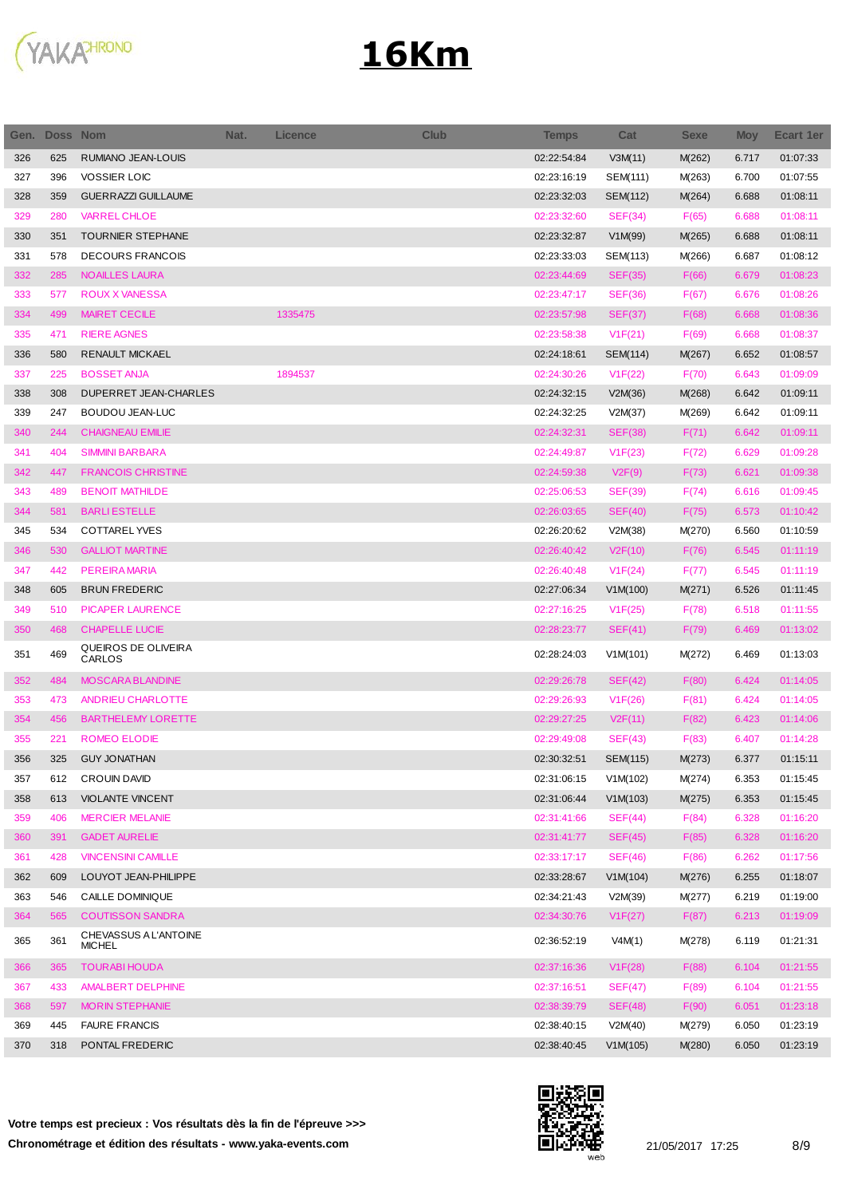

| Gen. | <b>Doss Nom</b> |                                        | Nat. | <b>Licence</b> | Club | <b>Temps</b> | Cat             | <b>Sexe</b> | <b>Moy</b> | Ecart 1er |
|------|-----------------|----------------------------------------|------|----------------|------|--------------|-----------------|-------------|------------|-----------|
| 326  | 625             | RUMIANO JEAN-LOUIS                     |      |                |      | 02:22:54:84  | V3M(11)         | M(262)      | 6.717      | 01:07:33  |
| 327  | 396             | <b>VOSSIER LOIC</b>                    |      |                |      | 02:23:16:19  | SEM(111)        | M(263)      | 6.700      | 01:07:55  |
| 328  | 359             | <b>GUERRAZZI GUILLAUME</b>             |      |                |      | 02:23:32:03  | SEM(112)        | M(264)      | 6.688      | 01:08:11  |
| 329  | 280             | <b>VARREL CHLOE</b>                    |      |                |      | 02:23:32:60  | SEF(34)         | F(65)       | 6.688      | 01:08:11  |
| 330  | 351             | TOURNIER STEPHANE                      |      |                |      | 02:23:32:87  | V1M(99)         | M(265)      | 6.688      | 01:08:11  |
| 331  | 578             | <b>DECOURS FRANCOIS</b>                |      |                |      | 02:23:33:03  | SEM(113)        | M(266)      | 6.687      | 01:08:12  |
| 332  | 285             | <b>NOAILLES LAURA</b>                  |      |                |      | 02:23:44:69  | <b>SEF(35)</b>  | F(66)       | 6.679      | 01:08:23  |
| 333  | 577             | <b>ROUX X VANESSA</b>                  |      |                |      | 02:23:47:17  | <b>SEF(36)</b>  | F(67)       | 6.676      | 01:08:26  |
| 334  | 499             | <b>MAIRET CECILE</b>                   |      | 1335475        |      | 02:23:57:98  | <b>SEF(37)</b>  | F(68)       | 6.668      | 01:08:36  |
| 335  | 471             | <b>RIERE AGNES</b>                     |      |                |      | 02:23:58:38  | V1F(21)         | F(69)       | 6.668      | 01:08:37  |
| 336  | 580             | <b>RENAULT MICKAEL</b>                 |      |                |      | 02:24:18:61  | SEM(114)        | M(267)      | 6.652      | 01:08:57  |
| 337  | 225             | <b>BOSSET ANJA</b>                     |      | 1894537        |      | 02:24:30:26  | V1F(22)         | F(70)       | 6.643      | 01:09:09  |
| 338  | 308             | DUPERRET JEAN-CHARLES                  |      |                |      | 02:24:32:15  | V2M(36)         | M(268)      | 6.642      | 01:09:11  |
| 339  | 247             | BOUDOU JEAN-LUC                        |      |                |      | 02:24:32:25  | V2M(37)         | M(269)      | 6.642      | 01:09:11  |
| 340  | 244             | <b>CHAIGNEAU EMILIE</b>                |      |                |      | 02:24:32:31  | <b>SEF(38)</b>  | F(71)       | 6.642      | 01:09:11  |
| 341  | 404             | <b>SIMMINI BARBARA</b>                 |      |                |      | 02:24:49:87  | V1F(23)         | F(72)       | 6.629      | 01:09:28  |
| 342  | 447             | <b>FRANCOIS CHRISTINE</b>              |      |                |      | 02:24:59:38  | V2F(9)          | F(73)       | 6.621      | 01:09:38  |
| 343  | 489             | <b>BENOIT MATHILDE</b>                 |      |                |      | 02:25:06:53  | <b>SEF(39)</b>  | F(74)       | 6.616      | 01:09:45  |
| 344  | 581             | <b>BARLIESTELLE</b>                    |      |                |      | 02:26:03:65  | <b>SEF(40)</b>  | F(75)       | 6.573      | 01:10:42  |
| 345  | 534             | <b>COTTAREL YVES</b>                   |      |                |      | 02:26:20:62  | V2M(38)         | M(270)      | 6.560      | 01:10:59  |
| 346  | 530             | <b>GALLIOT MARTINE</b>                 |      |                |      | 02:26:40:42  | V2F(10)         | F(76)       | 6.545      | 01:11:19  |
| 347  | 442             | <b>PEREIRA MARIA</b>                   |      |                |      | 02:26:40:48  | V1F(24)         | F(77)       | 6.545      | 01:11:19  |
| 348  | 605             | <b>BRUN FREDERIC</b>                   |      |                |      | 02:27:06:34  | V1M(100)        | M(271)      | 6.526      | 01:11:45  |
| 349  | 510             | <b>PICAPER LAURENCE</b>                |      |                |      | 02:27:16:25  | V1F(25)         | F(78)       | 6.518      | 01:11:55  |
| 350  | 468             | <b>CHAPELLE LUCIE</b>                  |      |                |      | 02:28:23:77  | SEF(41)         | F(79)       | 6.469      | 01:13:02  |
| 351  | 469             | QUEIROS DE OLIVEIRA<br>CARLOS          |      |                |      | 02:28:24:03  | V1M(101)        | M(272)      | 6.469      | 01:13:03  |
| 352  | 484             | <b>MOSCARA BLANDINE</b>                |      |                |      | 02:29:26:78  | SEF(42)         | F(80)       | 6.424      | 01:14:05  |
| 353  | 473             | ANDRIEU CHARLOTTE                      |      |                |      | 02:29:26:93  | V1F(26)         | F(81)       | 6.424      | 01:14:05  |
| 354  | 456             | <b>BARTHELEMY LORETTE</b>              |      |                |      | 02:29:27:25  | V2F(11)         | F(82)       | 6.423      | 01:14:06  |
| 355  | 221             | <b>ROMEO ELODIE</b>                    |      |                |      | 02:29:49:08  | SEF(43)         | F(83)       | 6.407      | 01:14:28  |
| 356  | 325             | <b>GUY JONATHAN</b>                    |      |                |      | 02:30:32:51  | <b>SEM(115)</b> | M(273)      | 6.377      | 01:15:11  |
| 357  | 612             | <b>CROUIN DAVID</b>                    |      |                |      | 02:31:06:15  | V1M(102)        | M(274)      | 6.353      | 01:15:45  |
| 358  | 613             | <b>VIOLANTE VINCENT</b>                |      |                |      | 02:31:06:44  | V1M(103)        | M(275)      | 6.353      | 01:15:45  |
| 359  | 406             | <b>MERCIER MELANIE</b>                 |      |                |      | 02:31:41:66  | SEF(44)         | F(84)       | 6.328      | 01:16:20  |
| 360  | 391             | <b>GADET AURELIE</b>                   |      |                |      | 02:31:41:77  | SEF(45)         | F(85)       | 6.328      | 01:16:20  |
| 361  | 428             | <b>VINCENSINI CAMILLE</b>              |      |                |      | 02:33:17:17  | SEF(46)         | F(86)       | 6.262      | 01:17:56  |
| 362  | 609             | LOUYOT JEAN-PHILIPPE                   |      |                |      | 02:33:28:67  | V1M(104)        | M(276)      | 6.255      | 01:18:07  |
| 363  | 546             | CAILLE DOMINIQUE                       |      |                |      | 02:34:21:43  | V2M(39)         | M(277)      | 6.219      | 01:19:00  |
| 364  | 565             | <b>COUTISSON SANDRA</b>                |      |                |      | 02:34:30:76  | V1F(27)         | F(87)       | 6.213      | 01:19:09  |
| 365  | 361             | CHEVASSUS A L'ANTOINE<br><b>MICHEL</b> |      |                |      | 02:36:52:19  | V4M(1)          | M(278)      | 6.119      | 01:21:31  |
| 366  | 365             | <b>TOURABI HOUDA</b>                   |      |                |      | 02:37:16:36  | V1F(28)         | F(88)       | 6.104      | 01:21:55  |
| 367  | 433             | AMALBERT DELPHINE                      |      |                |      | 02:37:16:51  | SEF(47)         | F(89)       | 6.104      | 01:21:55  |
| 368  | 597             | <b>MORIN STEPHANIE</b>                 |      |                |      | 02:38:39:79  | SEF(48)         | F(90)       | 6.051      | 01:23:18  |
| 369  | 445             | <b>FAURE FRANCIS</b>                   |      |                |      | 02:38:40:15  | V2M(40)         | M(279)      | 6.050      | 01:23:19  |
| 370  | 318             | PONTAL FREDERIC                        |      |                |      | 02:38:40:45  | V1M(105)        | M(280)      | 6.050      | 01:23:19  |